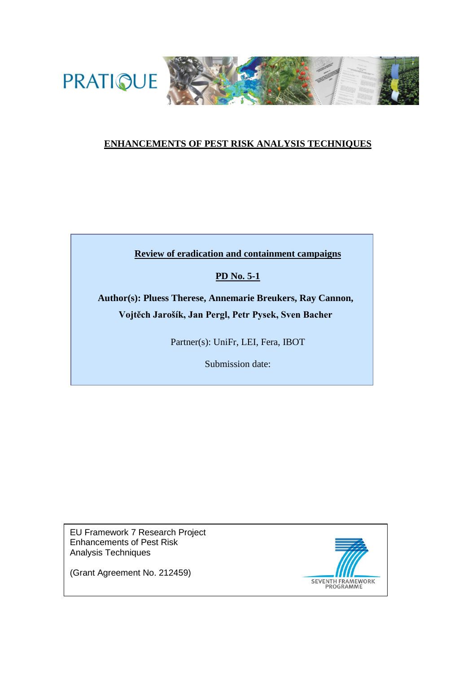

# **ENHANCEMENTS OF PEST RISK ANALYSIS TECHNIQUES**

**Review of eradication and containment campaigns**

# **PD No. 5-1**

**Author(s): Pluess Therese, Annemarie Breukers, Ray Cannon, Vojtěch Jarošík, Jan Pergl, Petr Pysek, Sven Bacher**

Partner(s): UniFr, LEI, Fera, IBOT

Submission date:

EU Framework 7 Research Project Enhancements of Pest Risk Analysis Techniques



(Grant Agreement No. 212459)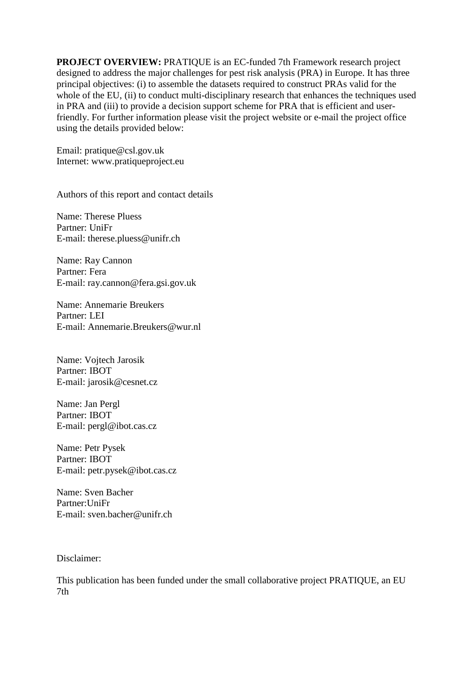**PROJECT OVERVIEW:** PRATIQUE is an EC-funded 7th Framework research project designed to address the major challenges for pest risk analysis (PRA) in Europe. It has three principal objectives: (i) to assemble the datasets required to construct PRAs valid for the whole of the EU, (ii) to conduct multi-disciplinary research that enhances the techniques used in PRA and (iii) to provide a decision support scheme for PRA that is efficient and userfriendly. For further information please visit the project website or e-mail the project office using the details provided below:

Email: pratique@csl.gov.uk Internet: www.pratiqueproject.eu

Authors of this report and contact details

Name: Therese Pluess Partner: UniFr E-mail: therese.pluess@unifr.ch

Name: Ray Cannon Partner: Fera E-mail: ray.cannon@fera.gsi.gov.uk

Name: Annemarie Breukers Partner: LEI E-mail: Annemarie.Breukers@wur.nl

Name: Vojtech Jarosik Partner: IBOT E-mail: jarosik@cesnet.cz

Name: Jan Pergl Partner: IBOT E-mail: pergl@ibot.cas.cz

Name: Petr Pysek Partner: IBOT E-mail: petr.pysek@ibot.cas.cz

Name: Sven Bacher Partner:UniFr E-mail: sven.bacher@unifr.ch

Disclaimer:

This publication has been funded under the small collaborative project PRATIQUE, an EU 7th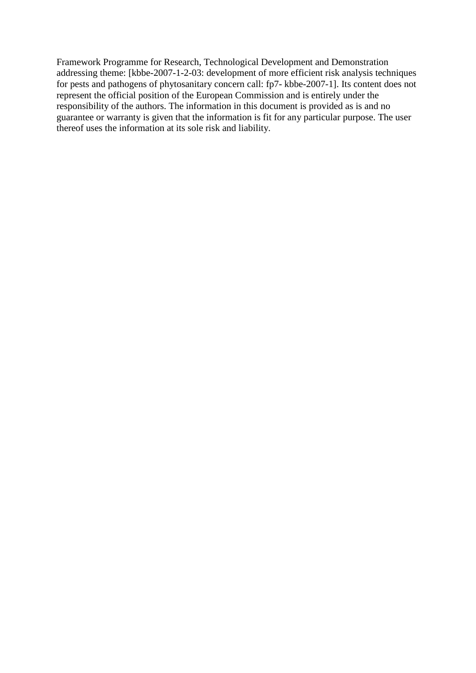Framework Programme for Research, Technological Development and Demonstration addressing theme: [kbbe-2007-1-2-03: development of more efficient risk analysis techniques for pests and pathogens of phytosanitary concern call: fp7- kbbe-2007-1]. Its content does not represent the official position of the European Commission and is entirely under the responsibility of the authors. The information in this document is provided as is and no guarantee or warranty is given that the information is fit for any particular purpose. The user thereof uses the information at its sole risk and liability.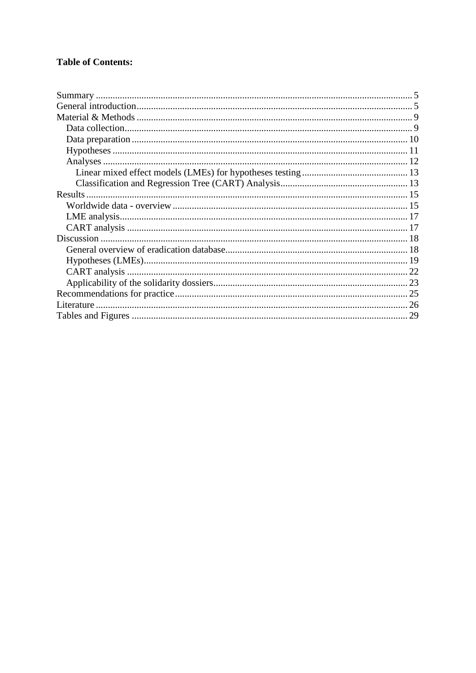# **Table of Contents:**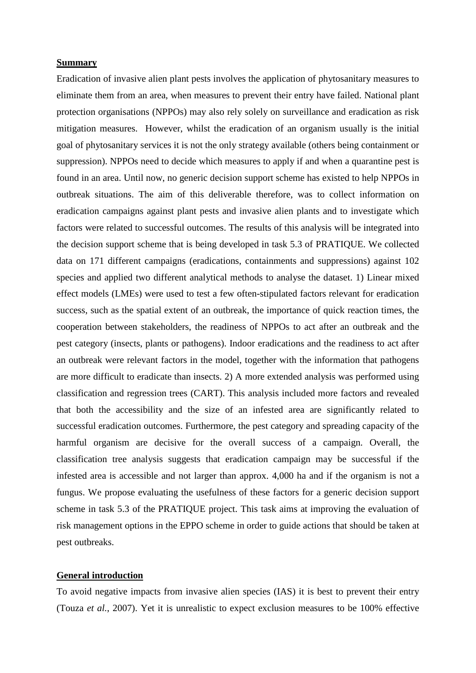#### **Summary**

Eradication of invasive alien plant pests involves the application of phytosanitary measures to eliminate them from an area, when measures to prevent their entry have failed. National plant protection organisations (NPPOs) may also rely solely on surveillance and eradication as risk mitigation measures. However, whilst the eradication of an organism usually is the initial goal of phytosanitary services it is not the only strategy available (others being containment or suppression). NPPOs need to decide which measures to apply if and when a quarantine pest is found in an area. Until now, no generic decision support scheme has existed to help NPPOs in outbreak situations. The aim of this deliverable therefore, was to collect information on eradication campaigns against plant pests and invasive alien plants and to investigate which factors were related to successful outcomes. The results of this analysis will be integrated into the decision support scheme that is being developed in task 5.3 of PRATIQUE. We collected data on 171 different campaigns (eradications, containments and suppressions) against 102 species and applied two different analytical methods to analyse the dataset. 1) Linear mixed effect models (LMEs) were used to test a few often-stipulated factors relevant for eradication success, such as the spatial extent of an outbreak, the importance of quick reaction times, the cooperation between stakeholders, the readiness of NPPOs to act after an outbreak and the pest category (insects, plants or pathogens). Indoor eradications and the readiness to act after an outbreak were relevant factors in the model, together with the information that pathogens are more difficult to eradicate than insects. 2) A more extended analysis was performed using classification and regression trees (CART). This analysis included more factors and revealed that both the accessibility and the size of an infested area are significantly related to successful eradication outcomes. Furthermore, the pest category and spreading capacity of the harmful organism are decisive for the overall success of a campaign. Overall, the classification tree analysis suggests that eradication campaign may be successful if the infested area is accessible and not larger than approx. 4,000 ha and if the organism is not a fungus. We propose evaluating the usefulness of these factors for a generic decision support scheme in task 5.3 of the PRATIQUE project. This task aims at improving the evaluation of risk management options in the EPPO scheme in order to guide actions that should be taken at pest outbreaks.

#### **General introduction**

To avoid negative impacts from invasive alien species (IAS) it is best to prevent their entry (Touza *et al.*, 2007). Yet it is unrealistic to expect exclusion measures to be 100% effective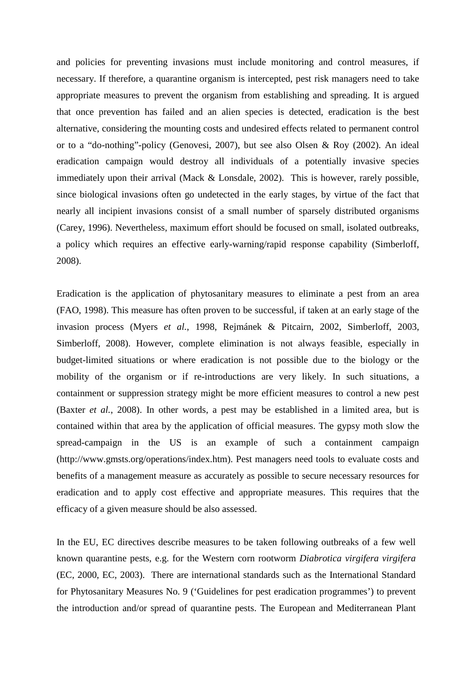and policies for preventing invasions must include monitoring and control measures, if necessary. If therefore, a quarantine organism is intercepted, pest risk managers need to take appropriate measures to prevent the organism from establishing and spreading. It is argued that once prevention has failed and an alien species is detected, eradication is the best alternative, considering the mounting costs and undesired effects related to permanent control or to a "do-nothing"-policy (Genovesi, 2007), but see also Olsen & Roy (2002). An ideal eradication campaign would destroy all individuals of a potentially invasive species immediately upon their arrival (Mack & Lonsdale, 2002). This is however, rarely possible, since biological invasions often go undetected in the early stages, by virtue of the fact that nearly all incipient invasions consist of a small number of sparsely distributed organisms (Carey, 1996). Nevertheless, maximum effort should be focused on small, isolated outbreaks, a policy which requires an effective early-warning/rapid response capability (Simberloff, 2008).

Eradication is the application of phytosanitary measures to eliminate a pest from an area (FAO, 1998). This measure has often proven to be successful, if taken at an early stage of the invasion process (Myers *et al.*, 1998, Rejmánek & Pitcairn, 2002, Simberloff, 2003, Simberloff, 2008). However, complete elimination is not always feasible, especially in budget-limited situations or where eradication is not possible due to the biology or the mobility of the organism or if re-introductions are very likely. In such situations, a containment or suppression strategy might be more efficient measures to control a new pest (Baxter *et al.*, 2008). In other words, a pest may be established in a limited area, but is contained within that area by the application of official measures. The gypsy moth slow the spread-campaign in the US is an example of such a containment campaign (http://www.gmsts.org/operations/index.htm). Pest managers need tools to evaluate costs and benefits of a management measure as accurately as possible to secure necessary resources for eradication and to apply cost effective and appropriate measures. This requires that the efficacy of a given measure should be also assessed.

In the EU, EC directives describe measures to be taken following outbreaks of a few well known quarantine pests, e.g. for the Western corn rootworm *Diabrotica virgifera virgifera* (EC, 2000, EC, 2003). There are international standards such as the International Standard for Phytosanitary Measures No. 9 ('Guidelines for pest eradication programmes') to prevent the introduction and/or spread of quarantine pests. The European and Mediterranean Plant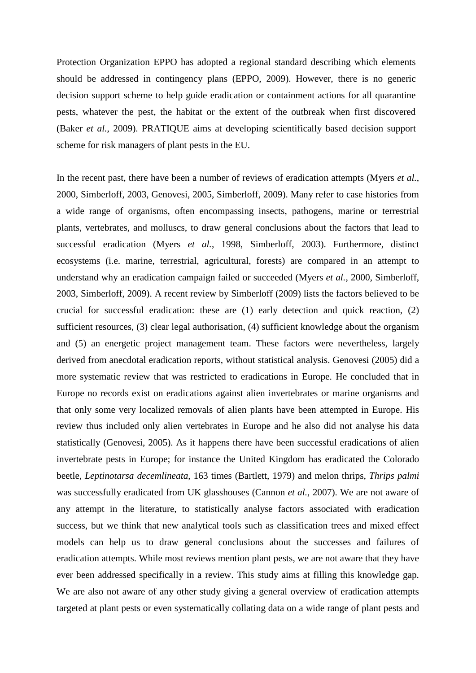Protection Organization EPPO has adopted a regional standard describing which elements should be addressed in contingency plans (EPPO, 2009). However, there is no generic decision support scheme to help guide eradication or containment actions for all quarantine pests, whatever the pest, the habitat or the extent of the outbreak when first discovered (Baker *et al.*, 2009). PRATIQUE aims at developing scientifically based decision support scheme for risk managers of plant pests in the EU.

In the recent past, there have been a number of reviews of eradication attempts (Myers *et al.*, 2000, Simberloff, 2003, Genovesi, 2005, Simberloff, 2009). Many refer to case histories from a wide range of organisms, often encompassing insects, pathogens, marine or terrestrial plants, vertebrates, and molluscs, to draw general conclusions about the factors that lead to successful eradication (Myers *et al.*, 1998, Simberloff, 2003). Furthermore, distinct ecosystems (i.e. marine, terrestrial, agricultural, forests) are compared in an attempt to understand why an eradication campaign failed or succeeded (Myers *et al.*, 2000, Simberloff, 2003, Simberloff, 2009). A recent review by Simberloff (2009) lists the factors believed to be crucial for successful eradication: these are (1) early detection and quick reaction, (2) sufficient resources, (3) clear legal authorisation, (4) sufficient knowledge about the organism and (5) an energetic project management team. These factors were nevertheless, largely derived from anecdotal eradication reports, without statistical analysis. Genovesi (2005) did a more systematic review that was restricted to eradications in Europe. He concluded that in Europe no records exist on eradications against alien invertebrates or marine organisms and that only some very localized removals of alien plants have been attempted in Europe. His review thus included only alien vertebrates in Europe and he also did not analyse his data statistically (Genovesi, 2005). As it happens there have been successful eradications of alien invertebrate pests in Europe; for instance the United Kingdom has eradicated the Colorado beetle, *Leptinotarsa decemlineata*, 163 times (Bartlett, 1979) and melon thrips, *Thrips palmi*  was successfully eradicated from UK glasshouses (Cannon *et al.*, 2007). We are not aware of any attempt in the literature, to statistically analyse factors associated with eradication success, but we think that new analytical tools such as classification trees and mixed effect models can help us to draw general conclusions about the successes and failures of eradication attempts. While most reviews mention plant pests, we are not aware that they have ever been addressed specifically in a review. This study aims at filling this knowledge gap. We are also not aware of any other study giving a general overview of eradication attempts targeted at plant pests or even systematically collating data on a wide range of plant pests and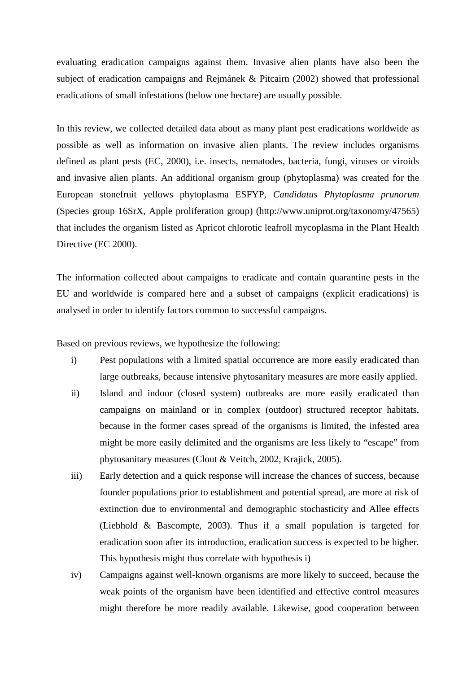evaluating eradication campaigns against them. Invasive alien plants have also been the subject of eradication campaigns and Rejmánek & Pitcairn (2002) showed that professional eradications of small infestations (below one hectare) are usually possible.

In this review, we collected detailed data about as many plant pest eradications worldwide as possible as well as information on invasive alien plants. The review includes organisms defined as plant pests (EC, 2000), i.e. insects, nematodes, bacteria, fungi, viruses or viroids and invasive alien plants. An additional organism group (phytoplasma) was created for the European stonefruit yellows phytoplasma ESFYP, *Candidatus Phytoplasma prunorum* (Species group 16SrX, Apple proliferation group) (http://www.uniprot.org/taxonomy/47565) that includes the organism listed as Apricot chlorotic leafroll mycoplasma in the Plant Health Directive (EC 2000).

The information collected about campaigns to eradicate and contain quarantine pests in the EU and worldwide is compared here and a subset of campaigns (explicit eradications) is analysed in order to identify factors common to successful campaigns.

Based on previous reviews, we hypothesize the following:

- i) Pest populations with a limited spatial occurrence are more easily eradicated than large outbreaks, because intensive phytosanitary measures are more easily applied.
- ii) Island and indoor (closed system) outbreaks are more easily eradicated than campaigns on mainland or in complex (outdoor) structured receptor habitats, because in the former cases spread of the organisms is limited, the infested area might be more easily delimited and the organisms are less likely to "escape" from phytosanitary measures (Clout & Veitch, 2002, Krajick, 2005).
- iii) Early detection and a quick response will increase the chances of success, because founder populations prior to establishment and potential spread, are more at risk of extinction due to environmental and demographic stochasticity and Allee effects (Liebhold & Bascompte, 2003). Thus if a small population is targeted for eradication soon after its introduction, eradication success is expected to be higher. This hypothesis might thus correlate with hypothesis i)
- iv) Campaigns against well-known organisms are more likely to succeed, because the weak points of the organism have been identified and effective control measures might therefore be more readily available. Likewise, good cooperation between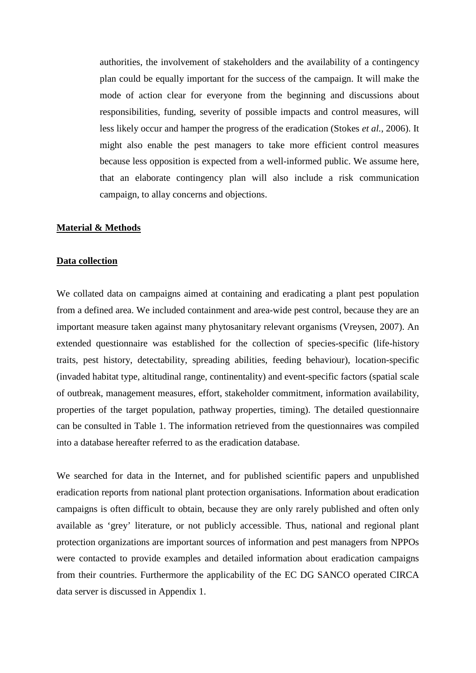authorities, the involvement of stakeholders and the availability of a contingency plan could be equally important for the success of the campaign. It will make the mode of action clear for everyone from the beginning and discussions about responsibilities, funding, severity of possible impacts and control measures, will less likely occur and hamper the progress of the eradication (Stokes *et al.*, 2006). It might also enable the pest managers to take more efficient control measures because less opposition is expected from a well-informed public. We assume here, that an elaborate contingency plan will also include a risk communication campaign, to allay concerns and objections.

#### **Material & Methods**

#### **Data collection**

We collated data on campaigns aimed at containing and eradicating a plant pest population from a defined area. We included containment and area-wide pest control, because they are an important measure taken against many phytosanitary relevant organisms (Vreysen, 2007). An extended questionnaire was established for the collection of species-specific (life-history traits, pest history, detectability, spreading abilities, feeding behaviour), location-specific (invaded habitat type, altitudinal range, continentality) and event-specific factors (spatial scale of outbreak, management measures, effort, stakeholder commitment, information availability, properties of the target population, pathway properties, timing). The detailed questionnaire can be consulted in Table 1. The information retrieved from the questionnaires was compiled into a database hereafter referred to as the eradication database.

We searched for data in the Internet, and for published scientific papers and unpublished eradication reports from national plant protection organisations. Information about eradication campaigns is often difficult to obtain, because they are only rarely published and often only available as 'grey' literature, or not publicly accessible. Thus, national and regional plant protection organizations are important sources of information and pest managers from NPPOs were contacted to provide examples and detailed information about eradication campaigns from their countries. Furthermore the applicability of the EC DG SANCO operated CIRCA data server is discussed in Appendix 1.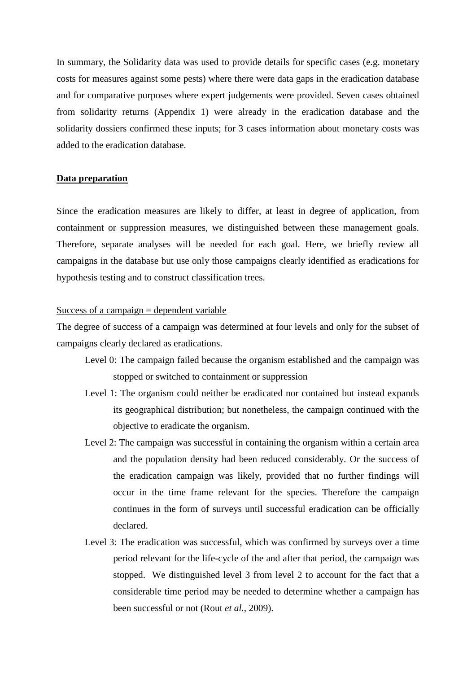In summary, the Solidarity data was used to provide details for specific cases (e.g. monetary costs for measures against some pests) where there were data gaps in the eradication database and for comparative purposes where expert judgements were provided. Seven cases obtained from solidarity returns (Appendix 1) were already in the eradication database and the solidarity dossiers confirmed these inputs; for 3 cases information about monetary costs was added to the eradication database.

#### **Data preparation**

Since the eradication measures are likely to differ, at least in degree of application, from containment or suppression measures, we distinguished between these management goals. Therefore, separate analyses will be needed for each goal. Here, we briefly review all campaigns in the database but use only those campaigns clearly identified as eradications for hypothesis testing and to construct classification trees.

#### Success of a campaign  $=$  dependent variable

The degree of success of a campaign was determined at four levels and only for the subset of campaigns clearly declared as eradications.

- Level 0: The campaign failed because the organism established and the campaign was stopped or switched to containment or suppression
- Level 1: The organism could neither be eradicated nor contained but instead expands its geographical distribution; but nonetheless, the campaign continued with the objective to eradicate the organism.
- Level 2: The campaign was successful in containing the organism within a certain area and the population density had been reduced considerably. Or the success of the eradication campaign was likely, provided that no further findings will occur in the time frame relevant for the species. Therefore the campaign continues in the form of surveys until successful eradication can be officially declared.
- Level 3: The eradication was successful, which was confirmed by surveys over a time period relevant for the life-cycle of the and after that period, the campaign was stopped. We distinguished level 3 from level 2 to account for the fact that a considerable time period may be needed to determine whether a campaign has been successful or not (Rout *et al.*, 2009).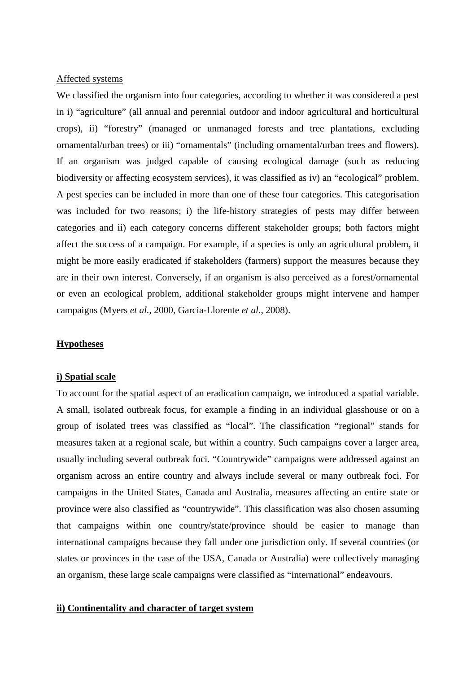## Affected systems

We classified the organism into four categories, according to whether it was considered a pest in i) "agriculture" (all annual and perennial outdoor and indoor agricultural and horticultural crops), ii) "forestry" (managed or unmanaged forests and tree plantations, excluding ornamental/urban trees) or iii) "ornamentals" (including ornamental/urban trees and flowers). If an organism was judged capable of causing ecological damage (such as reducing biodiversity or affecting ecosystem services), it was classified as iv) an "ecological" problem. A pest species can be included in more than one of these four categories. This categorisation was included for two reasons; i) the life-history strategies of pests may differ between categories and ii) each category concerns different stakeholder groups; both factors might affect the success of a campaign. For example, if a species is only an agricultural problem, it might be more easily eradicated if stakeholders (farmers) support the measures because they are in their own interest. Conversely, if an organism is also perceived as a forest/ornamental or even an ecological problem, additional stakeholder groups might intervene and hamper campaigns (Myers *et al.*, 2000, Garcia-Llorente *et al.*, 2008).

#### **Hypotheses**

#### **i) Spatial scale**

To account for the spatial aspect of an eradication campaign, we introduced a spatial variable. A small, isolated outbreak focus, for example a finding in an individual glasshouse or on a group of isolated trees was classified as "local". The classification "regional" stands for measures taken at a regional scale, but within a country. Such campaigns cover a larger area, usually including several outbreak foci. "Countrywide" campaigns were addressed against an organism across an entire country and always include several or many outbreak foci. For campaigns in the United States, Canada and Australia, measures affecting an entire state or province were also classified as "countrywide". This classification was also chosen assuming that campaigns within one country/state/province should be easier to manage than international campaigns because they fall under one jurisdiction only. If several countries (or states or provinces in the case of the USA, Canada or Australia) were collectively managing an organism, these large scale campaigns were classified as "international" endeavours.

#### **ii) Continentality and character of target system**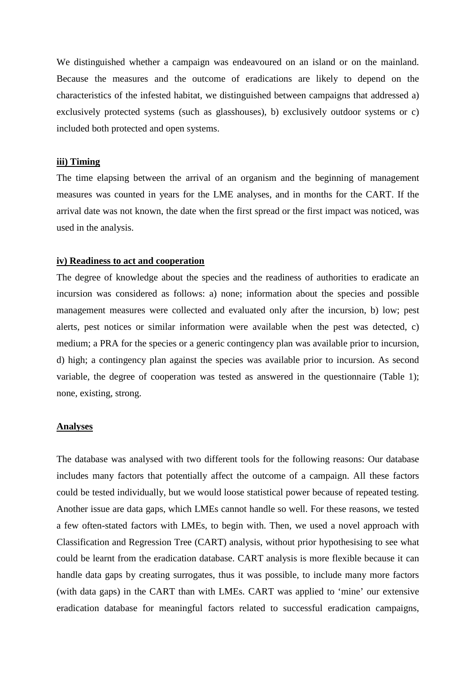We distinguished whether a campaign was endeavoured on an island or on the mainland. Because the measures and the outcome of eradications are likely to depend on the characteristics of the infested habitat, we distinguished between campaigns that addressed a) exclusively protected systems (such as glasshouses), b) exclusively outdoor systems or c) included both protected and open systems.

#### **iii) Timing**

The time elapsing between the arrival of an organism and the beginning of management measures was counted in years for the LME analyses, and in months for the CART. If the arrival date was not known, the date when the first spread or the first impact was noticed, was used in the analysis.

#### **iv) Readiness to act and cooperation**

The degree of knowledge about the species and the readiness of authorities to eradicate an incursion was considered as follows: a) none; information about the species and possible management measures were collected and evaluated only after the incursion, b) low; pest alerts, pest notices or similar information were available when the pest was detected, c) medium; a PRA for the species or a generic contingency plan was available prior to incursion, d) high; a contingency plan against the species was available prior to incursion. As second variable, the degree of cooperation was tested as answered in the questionnaire (Table 1); none, existing, strong.

#### **Analyses**

The database was analysed with two different tools for the following reasons: Our database includes many factors that potentially affect the outcome of a campaign. All these factors could be tested individually, but we would loose statistical power because of repeated testing. Another issue are data gaps, which LMEs cannot handle so well. For these reasons, we tested a few often-stated factors with LMEs, to begin with. Then, we used a novel approach with Classification and Regression Tree (CART) analysis, without prior hypothesising to see what could be learnt from the eradication database. CART analysis is more flexible because it can handle data gaps by creating surrogates, thus it was possible, to include many more factors (with data gaps) in the CART than with LMEs. CART was applied to 'mine' our extensive eradication database for meaningful factors related to successful eradication campaigns,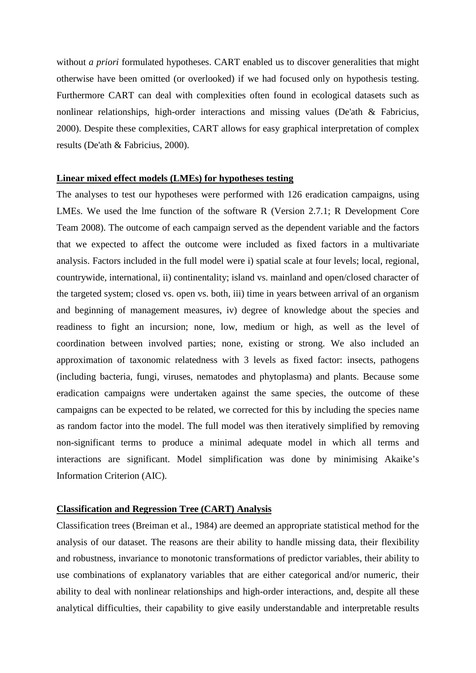without *a priori* formulated hypotheses. CART enabled us to discover generalities that might otherwise have been omitted (or overlooked) if we had focused only on hypothesis testing. Furthermore CART can deal with complexities often found in ecological datasets such as nonlinear relationships, high-order interactions and missing values (De'ath & Fabricius, 2000). Despite these complexities, CART allows for easy graphical interpretation of complex results (De'ath & Fabricius, 2000).

#### **Linear mixed effect models (LMEs) for hypotheses testing**

The analyses to test our hypotheses were performed with 126 eradication campaigns, using LMEs. We used the lme function of the software R (Version 2.7.1; R Development Core Team 2008). The outcome of each campaign served as the dependent variable and the factors that we expected to affect the outcome were included as fixed factors in a multivariate analysis. Factors included in the full model were i) spatial scale at four levels; local, regional, countrywide, international, ii) continentality; island vs. mainland and open/closed character of the targeted system; closed vs. open vs. both, iii) time in years between arrival of an organism and beginning of management measures, iv) degree of knowledge about the species and readiness to fight an incursion; none, low, medium or high, as well as the level of coordination between involved parties; none, existing or strong. We also included an approximation of taxonomic relatedness with 3 levels as fixed factor: insects, pathogens (including bacteria, fungi, viruses, nematodes and phytoplasma) and plants. Because some eradication campaigns were undertaken against the same species, the outcome of these campaigns can be expected to be related, we corrected for this by including the species name as random factor into the model. The full model was then iteratively simplified by removing non-significant terms to produce a minimal adequate model in which all terms and interactions are significant. Model simplification was done by minimising Akaike's Information Criterion (AIC).

#### **Classification and Regression Tree (CART) Analysis**

Classification trees (Breiman et al., 1984) are deemed an appropriate statistical method for the analysis of our dataset. The reasons are their ability to handle missing data, their flexibility and robustness, invariance to monotonic transformations of predictor variables, their ability to use combinations of explanatory variables that are either categorical and/or numeric, their ability to deal with nonlinear relationships and high-order interactions, and, despite all these analytical difficulties, their capability to give easily understandable and interpretable results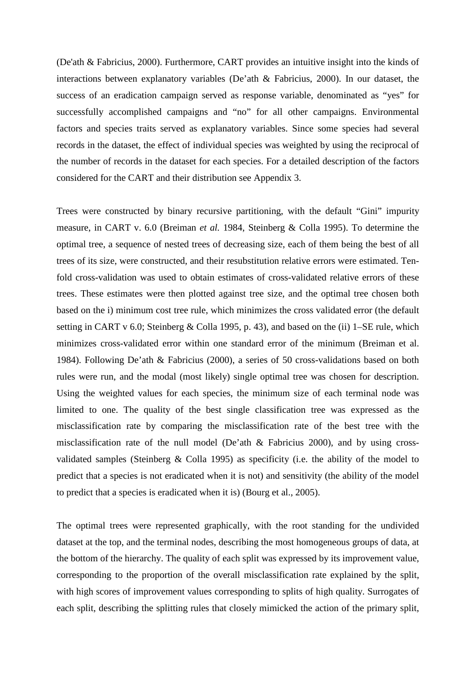(De'ath & Fabricius, 2000). Furthermore, CART provides an intuitive insight into the kinds of interactions between explanatory variables (De'ath & Fabricius, 2000). In our dataset, the success of an eradication campaign served as response variable, denominated as "yes" for successfully accomplished campaigns and "no" for all other campaigns. Environmental factors and species traits served as explanatory variables. Since some species had several records in the dataset, the effect of individual species was weighted by using the reciprocal of the number of records in the dataset for each species. For a detailed description of the factors considered for the CART and their distribution see Appendix 3.

Trees were constructed by binary recursive partitioning, with the default "Gini" impurity measure, in CART v. 6.0 (Breiman *et al.* 1984, Steinberg & Colla 1995). To determine the optimal tree, a sequence of nested trees of decreasing size, each of them being the best of all trees of its size, were constructed, and their resubstitution relative errors were estimated. Tenfold cross-validation was used to obtain estimates of cross-validated relative errors of these trees. These estimates were then plotted against tree size, and the optimal tree chosen both based on the i) minimum cost tree rule, which minimizes the cross validated error (the default setting in CART v 6.0; Steinberg & Colla 1995, p. 43), and based on the (ii) 1–SE rule, which minimizes cross-validated error within one standard error of the minimum (Breiman et al. 1984). Following De'ath & Fabricius (2000), a series of 50 cross-validations based on both rules were run, and the modal (most likely) single optimal tree was chosen for description. Using the weighted values for each species, the minimum size of each terminal node was limited to one. The quality of the best single classification tree was expressed as the misclassification rate by comparing the misclassification rate of the best tree with the misclassification rate of the null model (De'ath & Fabricius 2000), and by using crossvalidated samples (Steinberg & Colla 1995) as specificity (i.e. the ability of the model to predict that a species is not eradicated when it is not) and sensitivity (the ability of the model to predict that a species is eradicated when it is) (Bourg et al., 2005).

The optimal trees were represented graphically, with the root standing for the undivided dataset at the top, and the terminal nodes, describing the most homogeneous groups of data, at the bottom of the hierarchy. The quality of each split was expressed by its improvement value, corresponding to the proportion of the overall misclassification rate explained by the split, with high scores of improvement values corresponding to splits of high quality. Surrogates of each split, describing the splitting rules that closely mimicked the action of the primary split,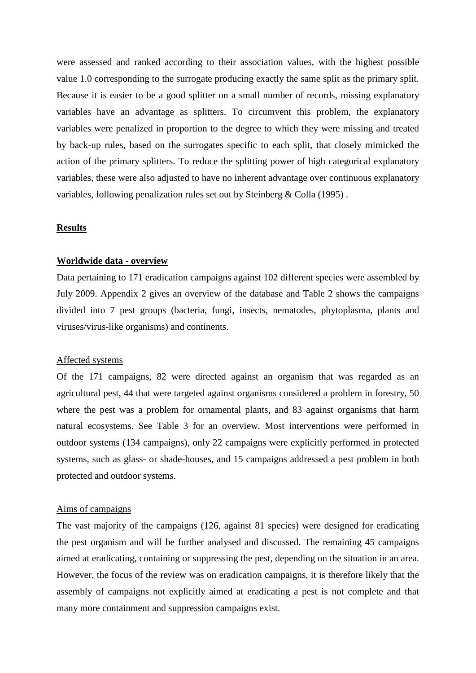were assessed and ranked according to their association values, with the highest possible value 1.0 corresponding to the surrogate producing exactly the same split as the primary split. Because it is easier to be a good splitter on a small number of records, missing explanatory variables have an advantage as splitters. To circumvent this problem, the explanatory variables were penalized in proportion to the degree to which they were missing and treated by back-up rules, based on the surrogates specific to each split, that closely mimicked the action of the primary splitters. To reduce the splitting power of high categorical explanatory variables, these were also adjusted to have no inherent advantage over continuous explanatory variables, following penalization rules set out by Steinberg & Colla (1995) .

#### **Results**

#### **Worldwide data - overview**

Data pertaining to 171 eradication campaigns against 102 different species were assembled by July 2009. Appendix 2 gives an overview of the database and Table 2 shows the campaigns divided into 7 pest groups (bacteria, fungi, insects, nematodes, phytoplasma, plants and viruses/virus-like organisms) and continents.

#### Affected systems

Of the 171 campaigns, 82 were directed against an organism that was regarded as an agricultural pest, 44 that were targeted against organisms considered a problem in forestry, 50 where the pest was a problem for ornamental plants, and 83 against organisms that harm natural ecosystems. See Table 3 for an overview. Most interventions were performed in outdoor systems (134 campaigns), only 22 campaigns were explicitly performed in protected systems, such as glass- or shade-houses, and 15 campaigns addressed a pest problem in both protected and outdoor systems.

#### Aims of campaigns

The vast majority of the campaigns (126, against 81 species) were designed for eradicating the pest organism and will be further analysed and discussed. The remaining 45 campaigns aimed at eradicating, containing or suppressing the pest, depending on the situation in an area. However, the focus of the review was on eradication campaigns, it is therefore likely that the assembly of campaigns not explicitly aimed at eradicating a pest is not complete and that many more containment and suppression campaigns exist.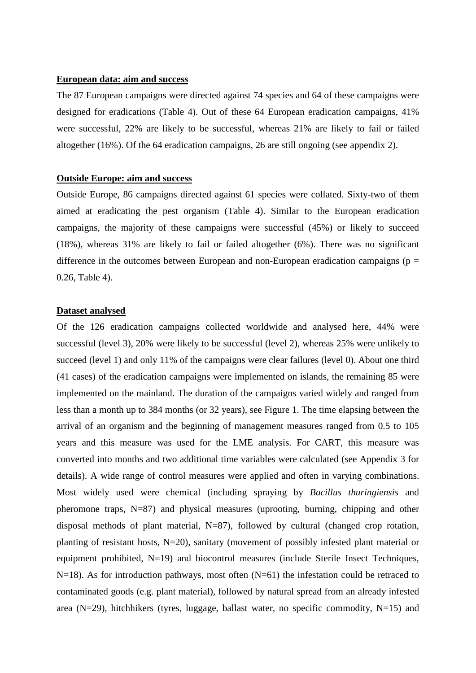#### **European data: aim and success**

The 87 European campaigns were directed against 74 species and 64 of these campaigns were designed for eradications (Table 4). Out of these 64 European eradication campaigns, 41% were successful, 22% are likely to be successful, whereas 21% are likely to fail or failed altogether (16%). Of the 64 eradication campaigns, 26 are still ongoing (see appendix 2).

#### **Outside Europe: aim and success**

Outside Europe, 86 campaigns directed against 61 species were collated. Sixty-two of them aimed at eradicating the pest organism (Table 4). Similar to the European eradication campaigns, the majority of these campaigns were successful (45%) or likely to succeed (18%), whereas 31% are likely to fail or failed altogether (6%). There was no significant difference in the outcomes between European and non-European eradication campaigns ( $p =$ 0.26, Table 4).

## **Dataset analysed**

Of the 126 eradication campaigns collected worldwide and analysed here, 44% were successful (level 3), 20% were likely to be successful (level 2), whereas 25% were unlikely to succeed (level 1) and only 11% of the campaigns were clear failures (level 0). About one third (41 cases) of the eradication campaigns were implemented on islands, the remaining 85 were implemented on the mainland. The duration of the campaigns varied widely and ranged from less than a month up to 384 months (or 32 years), see Figure 1. The time elapsing between the arrival of an organism and the beginning of management measures ranged from 0.5 to 105 years and this measure was used for the LME analysis. For CART, this measure was converted into months and two additional time variables were calculated (see Appendix 3 for details). A wide range of control measures were applied and often in varying combinations. Most widely used were chemical (including spraying by *Bacillus thuringiensis* and pheromone traps, N=87) and physical measures (uprooting, burning, chipping and other disposal methods of plant material, N=87), followed by cultural (changed crop rotation, planting of resistant hosts, N=20), sanitary (movement of possibly infested plant material or equipment prohibited, N=19) and biocontrol measures (include Sterile Insect Techniques,  $N=18$ ). As for introduction pathways, most often  $(N=61)$  the infestation could be retraced to contaminated goods (e.g. plant material), followed by natural spread from an already infested area (N=29), hitchhikers (tyres, luggage, ballast water, no specific commodity, N=15) and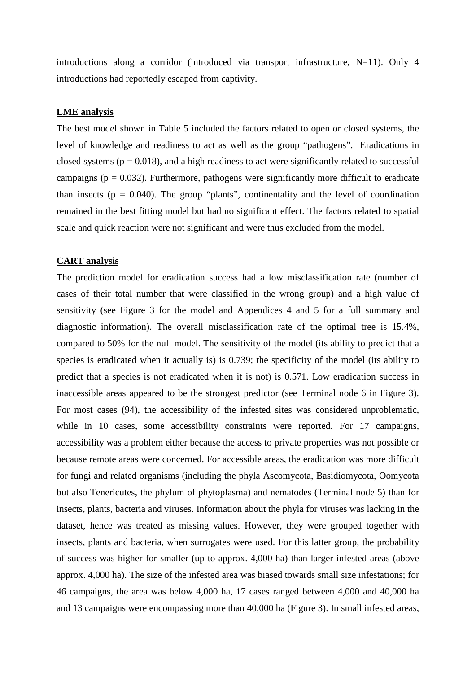introductions along a corridor (introduced via transport infrastructure, N=11). Only 4 introductions had reportedly escaped from captivity.

## **LME analysis**

The best model shown in Table 5 included the factors related to open or closed systems, the level of knowledge and readiness to act as well as the group "pathogens". Eradications in closed systems ( $p = 0.018$ ), and a high readiness to act were significantly related to successful campaigns ( $p = 0.032$ ). Furthermore, pathogens were significantly more difficult to eradicate than insects ( $p = 0.040$ ). The group "plants", continentality and the level of coordination remained in the best fitting model but had no significant effect. The factors related to spatial scale and quick reaction were not significant and were thus excluded from the model.

#### **CART analysis**

The prediction model for eradication success had a low misclassification rate (number of cases of their total number that were classified in the wrong group) and a high value of sensitivity (see Figure 3 for the model and Appendices 4 and 5 for a full summary and diagnostic information). The overall misclassification rate of the optimal tree is 15.4%, compared to 50% for the null model. The sensitivity of the model (its ability to predict that a species is eradicated when it actually is) is 0.739; the specificity of the model (its ability to predict that a species is not eradicated when it is not) is 0.571. Low eradication success in inaccessible areas appeared to be the strongest predictor (see Terminal node 6 in Figure 3). For most cases (94), the accessibility of the infested sites was considered unproblematic, while in 10 cases, some accessibility constraints were reported. For 17 campaigns, accessibility was a problem either because the access to private properties was not possible or because remote areas were concerned. For accessible areas, the eradication was more difficult for fungi and related organisms (including the phyla Ascomycota, Basidiomycota, Oomycota but also Tenericutes, the phylum of phytoplasma) and nematodes (Terminal node 5) than for insects, plants, bacteria and viruses. Information about the phyla for viruses was lacking in the dataset, hence was treated as missing values. However, they were grouped together with insects, plants and bacteria, when surrogates were used. For this latter group, the probability of success was higher for smaller (up to approx. 4,000 ha) than larger infested areas (above approx. 4,000 ha). The size of the infested area was biased towards small size infestations; for 46 campaigns, the area was below 4,000 ha, 17 cases ranged between 4,000 and 40,000 ha and 13 campaigns were encompassing more than 40,000 ha (Figure 3). In small infested areas,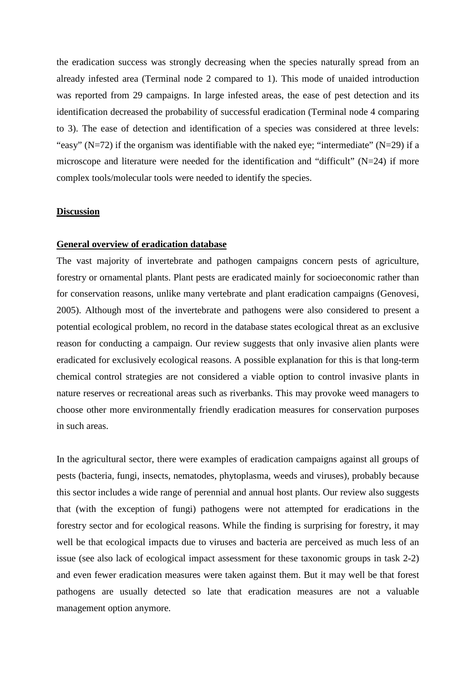the eradication success was strongly decreasing when the species naturally spread from an already infested area (Terminal node 2 compared to 1). This mode of unaided introduction was reported from 29 campaigns. In large infested areas, the ease of pest detection and its identification decreased the probability of successful eradication (Terminal node 4 comparing to 3). The ease of detection and identification of a species was considered at three levels: "easy" ( $N=72$ ) if the organism was identifiable with the naked eye; "intermediate" ( $N=29$ ) if a microscope and literature were needed for the identification and "difficult" (N=24) if more complex tools/molecular tools were needed to identify the species.

#### **Discussion**

#### **General overview of eradication database**

The vast majority of invertebrate and pathogen campaigns concern pests of agriculture, forestry or ornamental plants. Plant pests are eradicated mainly for socioeconomic rather than for conservation reasons, unlike many vertebrate and plant eradication campaigns (Genovesi, 2005). Although most of the invertebrate and pathogens were also considered to present a potential ecological problem, no record in the database states ecological threat as an exclusive reason for conducting a campaign. Our review suggests that only invasive alien plants were eradicated for exclusively ecological reasons. A possible explanation for this is that long-term chemical control strategies are not considered a viable option to control invasive plants in nature reserves or recreational areas such as riverbanks. This may provoke weed managers to choose other more environmentally friendly eradication measures for conservation purposes in such areas.

In the agricultural sector, there were examples of eradication campaigns against all groups of pests (bacteria, fungi, insects, nematodes, phytoplasma, weeds and viruses), probably because this sector includes a wide range of perennial and annual host plants. Our review also suggests that (with the exception of fungi) pathogens were not attempted for eradications in the forestry sector and for ecological reasons. While the finding is surprising for forestry, it may well be that ecological impacts due to viruses and bacteria are perceived as much less of an issue (see also lack of ecological impact assessment for these taxonomic groups in task 2-2) and even fewer eradication measures were taken against them. But it may well be that forest pathogens are usually detected so late that eradication measures are not a valuable management option anymore.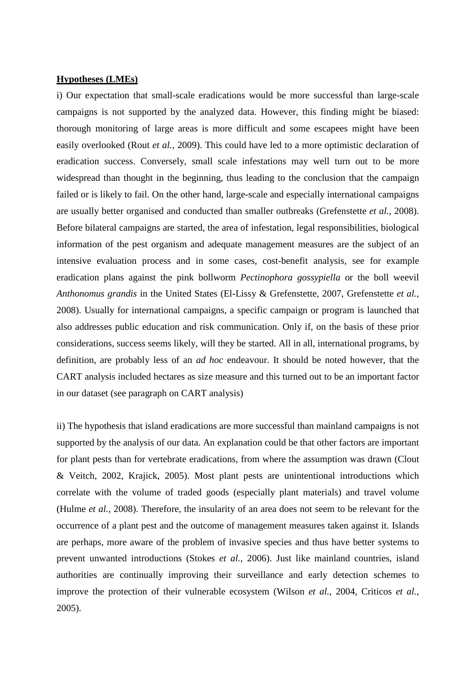## **Hypotheses (LMEs)**

i) Our expectation that small-scale eradications would be more successful than large-scale campaigns is not supported by the analyzed data. However, this finding might be biased: thorough monitoring of large areas is more difficult and some escapees might have been easily overlooked (Rout *et al.*, 2009). This could have led to a more optimistic declaration of eradication success. Conversely, small scale infestations may well turn out to be more widespread than thought in the beginning, thus leading to the conclusion that the campaign failed or is likely to fail. On the other hand, large-scale and especially international campaigns are usually better organised and conducted than smaller outbreaks (Grefenstette *et al.*, 2008). Before bilateral campaigns are started, the area of infestation, legal responsibilities, biological information of the pest organism and adequate management measures are the subject of an intensive evaluation process and in some cases, cost-benefit analysis, see for example eradication plans against the pink bollworm *Pectinophora gossypiella* or the boll weevil *Anthonomus grandis* in the United States (El-Lissy & Grefenstette, 2007, Grefenstette *et al.*, 2008). Usually for international campaigns, a specific campaign or program is launched that also addresses public education and risk communication. Only if, on the basis of these prior considerations, success seems likely, will they be started. All in all, international programs, by definition, are probably less of an *ad hoc* endeavour. It should be noted however, that the CART analysis included hectares as size measure and this turned out to be an important factor in our dataset (see paragraph on CART analysis)

ii) The hypothesis that island eradications are more successful than mainland campaigns is not supported by the analysis of our data. An explanation could be that other factors are important for plant pests than for vertebrate eradications, from where the assumption was drawn (Clout & Veitch, 2002, Krajick, 2005). Most plant pests are unintentional introductions which correlate with the volume of traded goods (especially plant materials) and travel volume (Hulme *et al.*, 2008). Therefore, the insularity of an area does not seem to be relevant for the occurrence of a plant pest and the outcome of management measures taken against it. Islands are perhaps, more aware of the problem of invasive species and thus have better systems to prevent unwanted introductions (Stokes *et al.*, 2006). Just like mainland countries, island authorities are continually improving their surveillance and early detection schemes to improve the protection of their vulnerable ecosystem (Wilson *et al.*, 2004, Criticos *et al.*, 2005).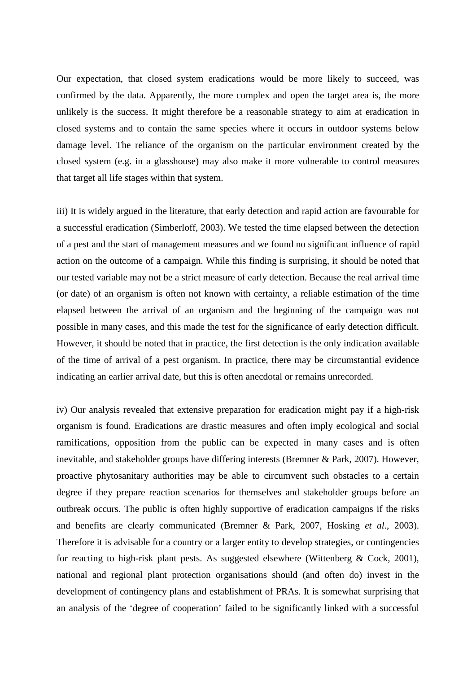Our expectation, that closed system eradications would be more likely to succeed, was confirmed by the data. Apparently, the more complex and open the target area is, the more unlikely is the success. It might therefore be a reasonable strategy to aim at eradication in closed systems and to contain the same species where it occurs in outdoor systems below damage level. The reliance of the organism on the particular environment created by the closed system (e.g. in a glasshouse) may also make it more vulnerable to control measures that target all life stages within that system.

iii) It is widely argued in the literature, that early detection and rapid action are favourable for a successful eradication (Simberloff, 2003). We tested the time elapsed between the detection of a pest and the start of management measures and we found no significant influence of rapid action on the outcome of a campaign. While this finding is surprising, it should be noted that our tested variable may not be a strict measure of early detection. Because the real arrival time (or date) of an organism is often not known with certainty, a reliable estimation of the time elapsed between the arrival of an organism and the beginning of the campaign was not possible in many cases, and this made the test for the significance of early detection difficult. However, it should be noted that in practice, the first detection is the only indication available of the time of arrival of a pest organism. In practice, there may be circumstantial evidence indicating an earlier arrival date, but this is often anecdotal or remains unrecorded.

iv) Our analysis revealed that extensive preparation for eradication might pay if a high-risk organism is found. Eradications are drastic measures and often imply ecological and social ramifications, opposition from the public can be expected in many cases and is often inevitable, and stakeholder groups have differing interests (Bremner & Park, 2007). However, proactive phytosanitary authorities may be able to circumvent such obstacles to a certain degree if they prepare reaction scenarios for themselves and stakeholder groups before an outbreak occurs. The public is often highly supportive of eradication campaigns if the risks and benefits are clearly communicated (Bremner & Park, 2007, Hosking *et al*., 2003). Therefore it is advisable for a country or a larger entity to develop strategies, or contingencies for reacting to high-risk plant pests. As suggested elsewhere (Wittenberg & Cock, 2001), national and regional plant protection organisations should (and often do) invest in the development of contingency plans and establishment of PRAs. It is somewhat surprising that an analysis of the 'degree of cooperation' failed to be significantly linked with a successful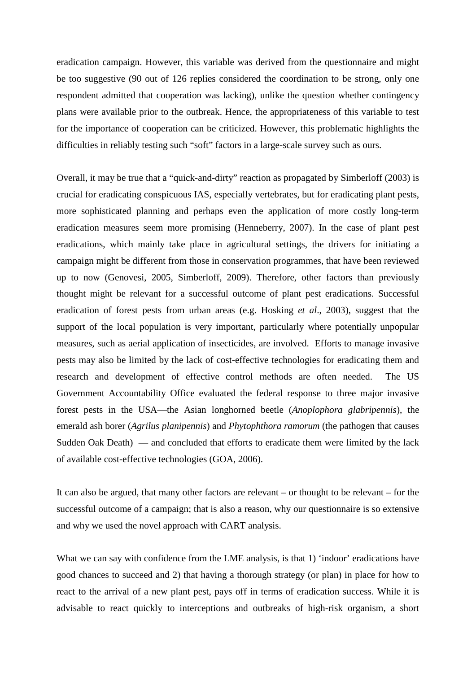eradication campaign. However, this variable was derived from the questionnaire and might be too suggestive (90 out of 126 replies considered the coordination to be strong, only one respondent admitted that cooperation was lacking), unlike the question whether contingency plans were available prior to the outbreak. Hence, the appropriateness of this variable to test for the importance of cooperation can be criticized. However, this problematic highlights the difficulties in reliably testing such "soft" factors in a large-scale survey such as ours.

Overall, it may be true that a "quick-and-dirty" reaction as propagated by Simberloff (2003) is crucial for eradicating conspicuous IAS, especially vertebrates, but for eradicating plant pests, more sophisticated planning and perhaps even the application of more costly long-term eradication measures seem more promising (Henneberry, 2007). In the case of plant pest eradications, which mainly take place in agricultural settings, the drivers for initiating a campaign might be different from those in conservation programmes, that have been reviewed up to now (Genovesi, 2005, Simberloff, 2009). Therefore, other factors than previously thought might be relevant for a successful outcome of plant pest eradications. Successful eradication of forest pests from urban areas (e.g. Hosking *et al*., 2003), suggest that the support of the local population is very important, particularly where potentially unpopular measures, such as aerial application of insecticides, are involved. Efforts to manage invasive pests may also be limited by the lack of cost-effective technologies for eradicating them and research and development of effective control methods are often needed. The US Government Accountability Office evaluated the federal response to three major invasive forest pests in the USA—the Asian longhorned beetle (*Anoplophora glabripennis*), the emerald ash borer (*Agrilus planipennis*) and *Phytophthora ramorum* (the pathogen that causes Sudden Oak Death) — and concluded that efforts to eradicate them were limited by the lack of available cost-effective technologies (GOA, 2006).

It can also be argued, that many other factors are relevant – or thought to be relevant – for the successful outcome of a campaign; that is also a reason, why our questionnaire is so extensive and why we used the novel approach with CART analysis.

What we can say with confidence from the LME analysis, is that 1) 'indoor' eradications have good chances to succeed and 2) that having a thorough strategy (or plan) in place for how to react to the arrival of a new plant pest, pays off in terms of eradication success. While it is advisable to react quickly to interceptions and outbreaks of high-risk organism, a short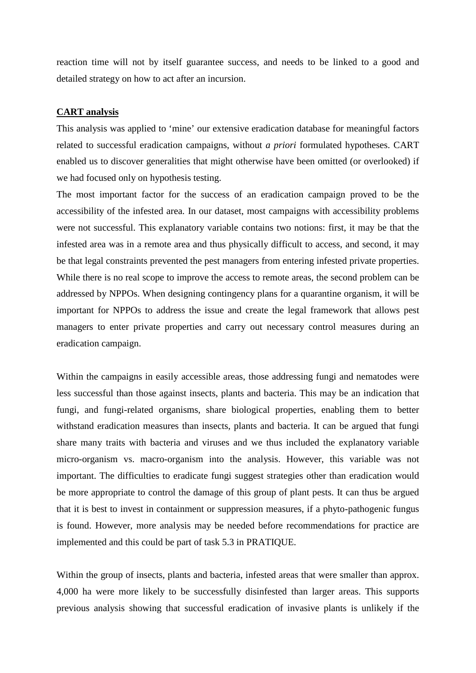reaction time will not by itself guarantee success, and needs to be linked to a good and detailed strategy on how to act after an incursion.

## **CART analysis**

This analysis was applied to 'mine' our extensive eradication database for meaningful factors related to successful eradication campaigns, without *a priori* formulated hypotheses. CART enabled us to discover generalities that might otherwise have been omitted (or overlooked) if we had focused only on hypothesis testing.

The most important factor for the success of an eradication campaign proved to be the accessibility of the infested area. In our dataset, most campaigns with accessibility problems were not successful. This explanatory variable contains two notions: first, it may be that the infested area was in a remote area and thus physically difficult to access, and second, it may be that legal constraints prevented the pest managers from entering infested private properties. While there is no real scope to improve the access to remote areas, the second problem can be addressed by NPPOs. When designing contingency plans for a quarantine organism, it will be important for NPPOs to address the issue and create the legal framework that allows pest managers to enter private properties and carry out necessary control measures during an eradication campaign.

Within the campaigns in easily accessible areas, those addressing fungi and nematodes were less successful than those against insects, plants and bacteria. This may be an indication that fungi, and fungi-related organisms, share biological properties, enabling them to better withstand eradication measures than insects, plants and bacteria. It can be argued that fungi share many traits with bacteria and viruses and we thus included the explanatory variable micro-organism vs. macro-organism into the analysis. However, this variable was not important. The difficulties to eradicate fungi suggest strategies other than eradication would be more appropriate to control the damage of this group of plant pests. It can thus be argued that it is best to invest in containment or suppression measures, if a phyto-pathogenic fungus is found. However, more analysis may be needed before recommendations for practice are implemented and this could be part of task 5.3 in PRATIQUE.

Within the group of insects, plants and bacteria, infested areas that were smaller than approx. 4,000 ha were more likely to be successfully disinfested than larger areas. This supports previous analysis showing that successful eradication of invasive plants is unlikely if the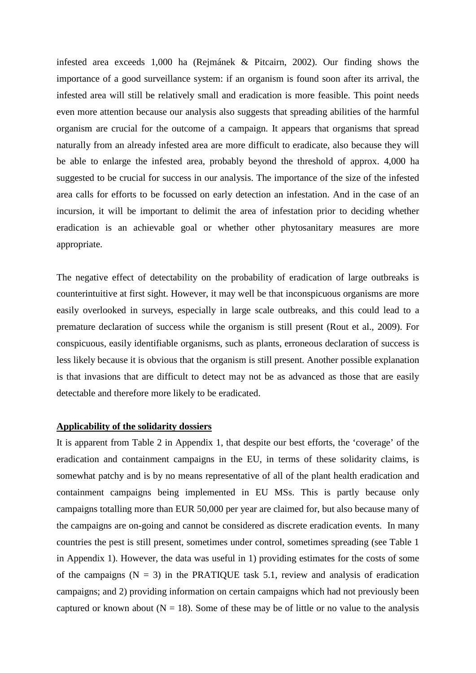infested area exceeds 1,000 ha (Rejmánek & Pitcairn, 2002). Our finding shows the importance of a good surveillance system: if an organism is found soon after its arrival, the infested area will still be relatively small and eradication is more feasible. This point needs even more attention because our analysis also suggests that spreading abilities of the harmful organism are crucial for the outcome of a campaign. It appears that organisms that spread naturally from an already infested area are more difficult to eradicate, also because they will be able to enlarge the infested area, probably beyond the threshold of approx. 4,000 ha suggested to be crucial for success in our analysis. The importance of the size of the infested area calls for efforts to be focussed on early detection an infestation. And in the case of an incursion, it will be important to delimit the area of infestation prior to deciding whether eradication is an achievable goal or whether other phytosanitary measures are more appropriate.

The negative effect of detectability on the probability of eradication of large outbreaks is counterintuitive at first sight. However, it may well be that inconspicuous organisms are more easily overlooked in surveys, especially in large scale outbreaks, and this could lead to a premature declaration of success while the organism is still present (Rout et al., 2009). For conspicuous, easily identifiable organisms, such as plants, erroneous declaration of success is less likely because it is obvious that the organism is still present. Another possible explanation is that invasions that are difficult to detect may not be as advanced as those that are easily detectable and therefore more likely to be eradicated.

#### **Applicability of the solidarity dossiers**

It is apparent from Table 2 in Appendix 1, that despite our best efforts, the 'coverage' of the eradication and containment campaigns in the EU, in terms of these solidarity claims, is somewhat patchy and is by no means representative of all of the plant health eradication and containment campaigns being implemented in EU MSs. This is partly because only campaigns totalling more than EUR 50,000 per year are claimed for, but also because many of the campaigns are on-going and cannot be considered as discrete eradication events. In many countries the pest is still present, sometimes under control, sometimes spreading (see Table 1 in Appendix 1). However, the data was useful in 1) providing estimates for the costs of some of the campaigns  $(N = 3)$  in the PRATIQUE task 5.1, review and analysis of eradication campaigns; and 2) providing information on certain campaigns which had not previously been captured or known about ( $N = 18$ ). Some of these may be of little or no value to the analysis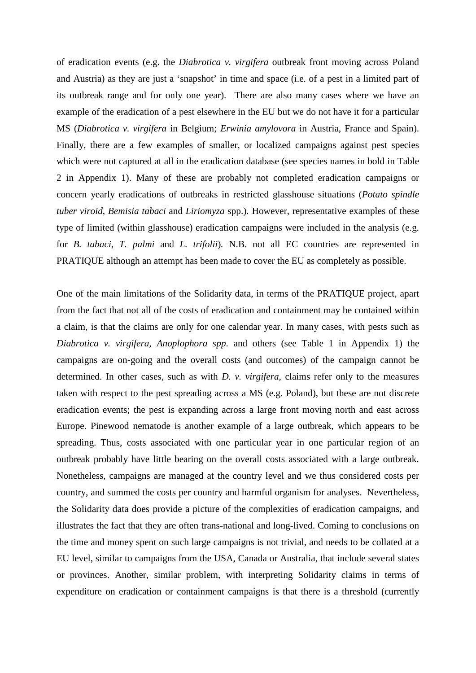of eradication events (e.g. the *Diabrotica v. virgifera* outbreak front moving across Poland and Austria) as they are just a 'snapshot' in time and space (i.e. of a pest in a limited part of its outbreak range and for only one year). There are also many cases where we have an example of the eradication of a pest elsewhere in the EU but we do not have it for a particular MS (*Diabrotica v. virgifera* in Belgium; *Erwinia amylovora* in Austria, France and Spain). Finally, there are a few examples of smaller, or localized campaigns against pest species which were not captured at all in the eradication database (see species names in bold in Table 2 in Appendix 1). Many of these are probably not completed eradication campaigns or concern yearly eradications of outbreaks in restricted glasshouse situations (*Potato spindle tuber viroid*, *Bemisia tabaci* and *Liriomyza* spp.). However, representative examples of these type of limited (within glasshouse) eradication campaigns were included in the analysis (e.g. for *B. tabaci*, *T. palmi* and *L. trifolii*)*.* N.B. not all EC countries are represented in PRATIQUE although an attempt has been made to cover the EU as completely as possible.

One of the main limitations of the Solidarity data, in terms of the PRATIQUE project, apart from the fact that not all of the costs of eradication and containment may be contained within a claim, is that the claims are only for one calendar year. In many cases, with pests such as *Diabrotica v. virgifera*, *Anoplophora spp*. and others (see Table 1 in Appendix 1) the campaigns are on-going and the overall costs (and outcomes) of the campaign cannot be determined. In other cases, such as with *D. v. virgifera*, claims refer only to the measures taken with respect to the pest spreading across a MS (e.g. Poland), but these are not discrete eradication events; the pest is expanding across a large front moving north and east across Europe. Pinewood nematode is another example of a large outbreak, which appears to be spreading. Thus, costs associated with one particular year in one particular region of an outbreak probably have little bearing on the overall costs associated with a large outbreak. Nonetheless, campaigns are managed at the country level and we thus considered costs per country, and summed the costs per country and harmful organism for analyses. Nevertheless, the Solidarity data does provide a picture of the complexities of eradication campaigns, and illustrates the fact that they are often trans-national and long-lived. Coming to conclusions on the time and money spent on such large campaigns is not trivial, and needs to be collated at a EU level, similar to campaigns from the USA, Canada or Australia, that include several states or provinces. Another, similar problem, with interpreting Solidarity claims in terms of expenditure on eradication or containment campaigns is that there is a threshold (currently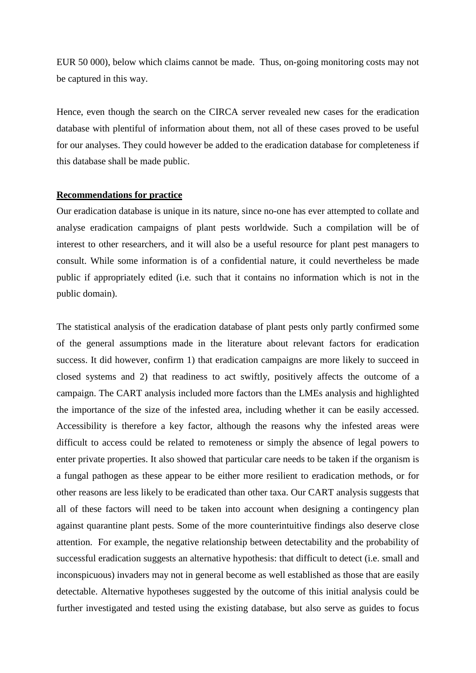EUR 50 000), below which claims cannot be made. Thus, on-going monitoring costs may not be captured in this way.

Hence, even though the search on the CIRCA server revealed new cases for the eradication database with plentiful of information about them, not all of these cases proved to be useful for our analyses. They could however be added to the eradication database for completeness if this database shall be made public.

#### **Recommendations for practice**

Our eradication database is unique in its nature, since no-one has ever attempted to collate and analyse eradication campaigns of plant pests worldwide. Such a compilation will be of interest to other researchers, and it will also be a useful resource for plant pest managers to consult. While some information is of a confidential nature, it could nevertheless be made public if appropriately edited (i.e. such that it contains no information which is not in the public domain).

The statistical analysis of the eradication database of plant pests only partly confirmed some of the general assumptions made in the literature about relevant factors for eradication success. It did however, confirm 1) that eradication campaigns are more likely to succeed in closed systems and 2) that readiness to act swiftly, positively affects the outcome of a campaign. The CART analysis included more factors than the LMEs analysis and highlighted the importance of the size of the infested area, including whether it can be easily accessed. Accessibility is therefore a key factor, although the reasons why the infested areas were difficult to access could be related to remoteness or simply the absence of legal powers to enter private properties. It also showed that particular care needs to be taken if the organism is a fungal pathogen as these appear to be either more resilient to eradication methods, or for other reasons are less likely to be eradicated than other taxa. Our CART analysis suggests that all of these factors will need to be taken into account when designing a contingency plan against quarantine plant pests. Some of the more counterintuitive findings also deserve close attention. For example, the negative relationship between detectability and the probability of successful eradication suggests an alternative hypothesis: that difficult to detect (i.e. small and inconspicuous) invaders may not in general become as well established as those that are easily detectable. Alternative hypotheses suggested by the outcome of this initial analysis could be further investigated and tested using the existing database, but also serve as guides to focus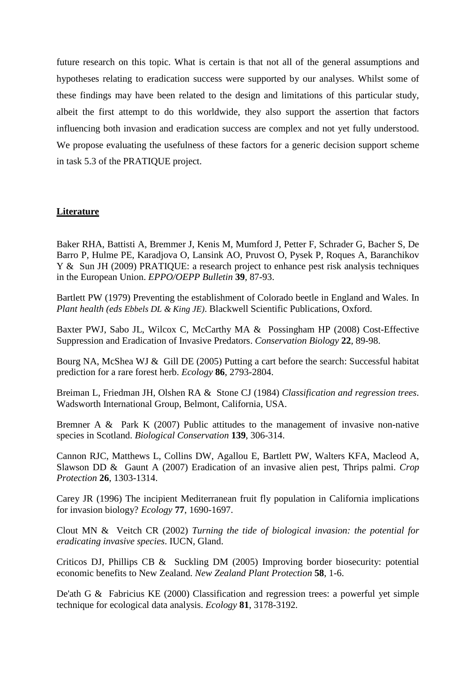future research on this topic. What is certain is that not all of the general assumptions and hypotheses relating to eradication success were supported by our analyses. Whilst some of these findings may have been related to the design and limitations of this particular study, albeit the first attempt to do this worldwide, they also support the assertion that factors influencing both invasion and eradication success are complex and not yet fully understood. We propose evaluating the usefulness of these factors for a generic decision support scheme in task 5.3 of the PRATIQUE project.

# **Literature**

Baker RHA, Battisti A, Bremmer J, Kenis M, Mumford J, Petter F, Schrader G, Bacher S, De Barro P, Hulme PE, Karadjova O, Lansink AO, Pruvost O, Pysek P, Roques A, Baranchikov Y & Sun JH (2009) PRATIQUE: a research project to enhance pest risk analysis techniques in the European Union. *EPPO/OEPP Bulletin* **39**, 87-93.

Bartlett PW (1979) Preventing the establishment of Colorado beetle in England and Wales. In *Plant health (eds Ebbels DL & King JE)*. Blackwell Scientific Publications, Oxford.

Baxter PWJ, Sabo JL, Wilcox C, McCarthy MA & Possingham HP (2008) Cost-Effective Suppression and Eradication of Invasive Predators. *Conservation Biology* **22**, 89-98.

Bourg NA, McShea WJ & Gill DE (2005) Putting a cart before the search: Successful habitat prediction for a rare forest herb. *Ecology* **86**, 2793-2804.

Breiman L, Friedman JH, Olshen RA & Stone CJ (1984) *Classification and regression trees*. Wadsworth International Group, Belmont, California, USA.

Bremner A & Park K (2007) Public attitudes to the management of invasive non-native species in Scotland. *Biological Conservation* **139**, 306-314.

Cannon RJC, Matthews L, Collins DW, Agallou E, Bartlett PW, Walters KFA, Macleod A, Slawson DD & Gaunt A (2007) Eradication of an invasive alien pest, Thrips palmi. *Crop Protection* **26**, 1303-1314.

Carey JR (1996) The incipient Mediterranean fruit fly population in California implications for invasion biology? *Ecology* **77**, 1690-1697.

Clout MN & Veitch CR (2002) *Turning the tide of biological invasion: the potential for eradicating invasive species*. IUCN, Gland.

Criticos DJ, Phillips CB & Suckling DM (2005) Improving border biosecurity: potential economic benefits to New Zealand. *New Zealand Plant Protection* **58**, 1-6.

De'ath G & Fabricius KE (2000) Classification and regression trees: a powerful yet simple technique for ecological data analysis. *Ecology* **81**, 3178-3192.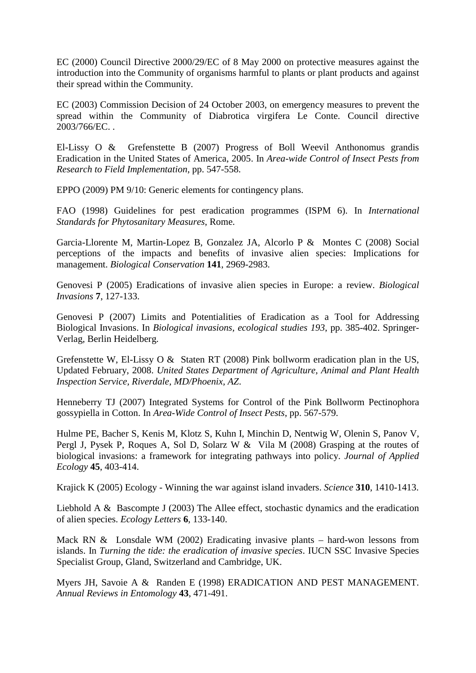EC (2000) Council Directive 2000/29/EC of 8 May 2000 on protective measures against the introduction into the Community of organisms harmful to plants or plant products and against their spread within the Community.

EC (2003) Commission Decision of 24 October 2003, on emergency measures to prevent the spread within the Community of Diabrotica virgifera Le Conte. Council directive 2003/766/EC. .

El-Lissy O & Grefenstette B (2007) Progress of Boll Weevil Anthonomus grandis Eradication in the United States of America, 2005. In *Area-wide Control of Insect Pests from Research to Field Implementation*, pp. 547-558.

EPPO (2009) PM 9/10: Generic elements for contingency plans.

FAO (1998) Guidelines for pest eradication programmes (ISPM 6). In *International Standards for Phytosanitary Measures*, Rome.

Garcia-Llorente M, Martin-Lopez B, Gonzalez JA, Alcorlo P & Montes C (2008) Social perceptions of the impacts and benefits of invasive alien species: Implications for management. *Biological Conservation* **141**, 2969-2983.

Genovesi P (2005) Eradications of invasive alien species in Europe: a review. *Biological Invasions* **7**, 127-133.

Genovesi P (2007) Limits and Potentialities of Eradication as a Tool for Addressing Biological Invasions. In *Biological invasions, ecological studies 193*, pp. 385-402. Springer-Verlag, Berlin Heidelberg.

Grefenstette W, El-Lissy O & Staten RT (2008) Pink bollworm eradication plan in the US, Updated February, 2008. *United States Department of Agriculture, Animal and Plant Health Inspection Service, Riverdale, MD/Phoenix, AZ*.

Henneberry TJ (2007) Integrated Systems for Control of the Pink Bollworm Pectinophora gossypiella in Cotton. In *Area-Wide Control of Insect Pests*, pp. 567-579.

Hulme PE, Bacher S, Kenis M, Klotz S, Kuhn I, Minchin D, Nentwig W, Olenin S, Panov V, Pergl J, Pysek P, Roques A, Sol D, Solarz W & Vila M (2008) Grasping at the routes of biological invasions: a framework for integrating pathways into policy. *Journal of Applied Ecology* **45**, 403-414.

Krajick K (2005) Ecology - Winning the war against island invaders. *Science* **310**, 1410-1413.

Liebhold A & Bascompte J (2003) The Allee effect, stochastic dynamics and the eradication of alien species. *Ecology Letters* **6**, 133-140.

Mack RN & Lonsdale WM (2002) Eradicating invasive plants – hard-won lessons from islands. In *Turning the tide: the eradication of invasive species*. IUCN SSC Invasive Species Specialist Group, Gland, Switzerland and Cambridge, UK.

Myers JH, Savoie A & Randen E (1998) ERADICATION AND PEST MANAGEMENT. *Annual Reviews in Entomology* **43**, 471-491.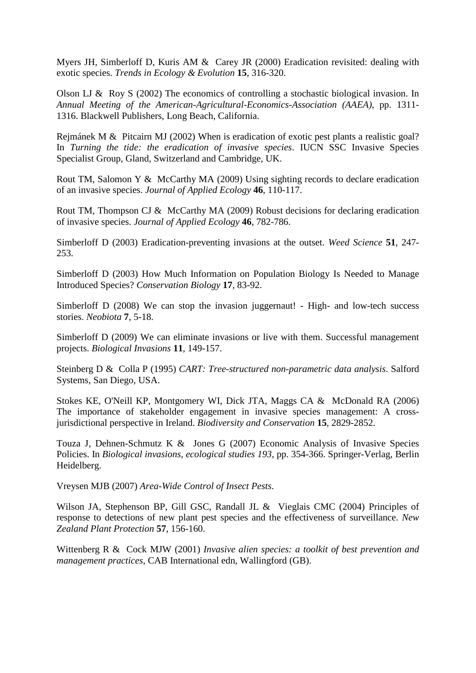Myers JH, Simberloff D, Kuris AM & Carey JR (2000) Eradication revisited: dealing with exotic species. *Trends in Ecology & Evolution* **15**, 316-320.

Olson LJ & Roy S (2002) The economics of controlling a stochastic biological invasion. In *Annual Meeting of the American-Agricultural-Economics-Association (AAEA)*, pp. 1311- 1316. Blackwell Publishers, Long Beach, California.

Rejmánek M & Pitcairn MJ (2002) When is eradication of exotic pest plants a realistic goal? In *Turning the tide: the eradication of invasive species*. IUCN SSC Invasive Species Specialist Group, Gland, Switzerland and Cambridge, UK.

Rout TM, Salomon Y & McCarthy MA (2009) Using sighting records to declare eradication of an invasive species. *Journal of Applied Ecology* **46**, 110-117.

Rout TM, Thompson CJ & McCarthy MA (2009) Robust decisions for declaring eradication of invasive species. *Journal of Applied Ecology* **46**, 782-786.

Simberloff D (2003) Eradication-preventing invasions at the outset. *Weed Science* **51**, 247- 253.

Simberloff D (2003) How Much Information on Population Biology Is Needed to Manage Introduced Species? *Conservation Biology* **17**, 83-92.

Simberloff D (2008) We can stop the invasion juggernaut! - High- and low-tech success stories. *Neobiota* **7**, 5-18.

Simberloff D (2009) We can eliminate invasions or live with them. Successful management projects. *Biological Invasions* **11**, 149-157.

Steinberg D & Colla P (1995) *CART: Tree-structured non-parametric data analysis*. Salford Systems, San Diego, USA.

Stokes KE, O'Neill KP, Montgomery WI, Dick JTA, Maggs CA & McDonald RA (2006) The importance of stakeholder engagement in invasive species management: A crossjurisdictional perspective in Ireland. *Biodiversity and Conservation* **15**, 2829-2852.

Touza J, Dehnen-Schmutz K & Jones G (2007) Economic Analysis of Invasive Species Policies. In *Biological invasions, ecological studies 193*, pp. 354-366. Springer-Verlag, Berlin Heidelberg.

Vreysen MJB (2007) *Area-Wide Control of Insect Pests*.

Wilson JA, Stephenson BP, Gill GSC, Randall JL & Vieglais CMC (2004) Principles of response to detections of new plant pest species and the effectiveness of surveillance. *New Zealand Plant Protection* **57**, 156-160.

Wittenberg R & Cock MJW (2001) *Invasive alien species: a toolkit of best prevention and management practices*, CAB International edn, Wallingford (GB).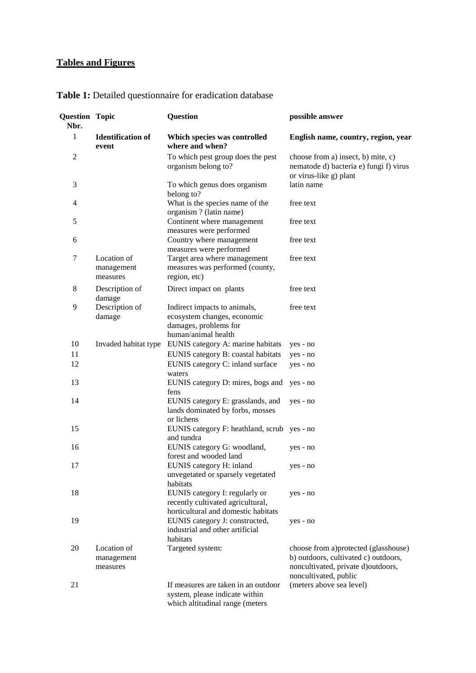# **Tables and Figures**

| <b>Question Topic</b><br>Nbr. |                                       | <b>Question</b>                                                                                             | possible answer                                                                                                                             |
|-------------------------------|---------------------------------------|-------------------------------------------------------------------------------------------------------------|---------------------------------------------------------------------------------------------------------------------------------------------|
| 1                             | <b>Identification of</b><br>event     | Which species was controlled<br>where and when?                                                             | English name, country, region, year                                                                                                         |
| 2                             |                                       | To which pest group does the pest<br>organism belong to?                                                    | choose from a) insect, b) mite, c)<br>nematode d) bacteria e) fungi f) virus<br>or virus-like g) plant                                      |
| 3                             |                                       | To which genus does organism<br>belong to?                                                                  | latin name                                                                                                                                  |
| 4                             |                                       | What is the species name of the<br>organism ? (latin name)                                                  | free text                                                                                                                                   |
| 5                             |                                       | Continent where management<br>measures were performed                                                       | free text                                                                                                                                   |
| 6                             |                                       | Country where management<br>measures were performed                                                         | free text                                                                                                                                   |
| 7                             | Location of<br>management<br>measures | Target area where management<br>measures was performed (county,<br>region, etc)                             | free text                                                                                                                                   |
| 8                             | Description of<br>damage              | Direct impact on plants                                                                                     | free text                                                                                                                                   |
| 9                             | Description of<br>damage              | Indirect impacts to animals,<br>ecosystem changes, economic<br>damages, problems for<br>human/animal health | free text                                                                                                                                   |
| 10                            | Invaded habitat type                  | EUNIS category A: marine habitats                                                                           | yes - no                                                                                                                                    |
| 11                            |                                       | EUNIS category B: coastal habitats                                                                          | yes - no                                                                                                                                    |
| 12                            |                                       | EUNIS category C: inland surface<br>waters                                                                  | yes - no                                                                                                                                    |
| 13                            |                                       | EUNIS category D: mires, bogs and<br>fens                                                                   | yes - no                                                                                                                                    |
| 14                            |                                       | EUNIS category E: grasslands, and<br>lands dominated by forbs, mosses<br>or lichens                         | yes - no                                                                                                                                    |
| 15                            |                                       | EUNIS category F: heathland, scrub yes - no<br>and tundra                                                   |                                                                                                                                             |
| 16                            |                                       | EUNIS category G: woodland,<br>forest and wooded land                                                       | yes - no                                                                                                                                    |
| 17                            |                                       | EUNIS category H: inland<br>unvegetated or sparsely vegetated<br>habitats                                   | yes - no                                                                                                                                    |
| 18                            |                                       | EUNIS category I: regularly or<br>recently cultivated agricultural,<br>horticultural and domestic habitats  | yes - no                                                                                                                                    |
| 19                            |                                       | EUNIS category J: constructed,<br>industrial and other artificial<br>habitats                               | yes - no                                                                                                                                    |
| 20                            | Location of<br>management<br>measures | Targeted system:                                                                                            | choose from a)protected (glasshouse)<br>b) outdoors, cultivated c) outdoors,<br>noncultivated, private d)outdoors,<br>noncultivated, public |
| 21                            |                                       | If measures are taken in an outdoor<br>system, please indicate within<br>which altitudinal range (meters    | (meters above sea level)                                                                                                                    |

# **Table 1:** Detailed questionnaire for eradication database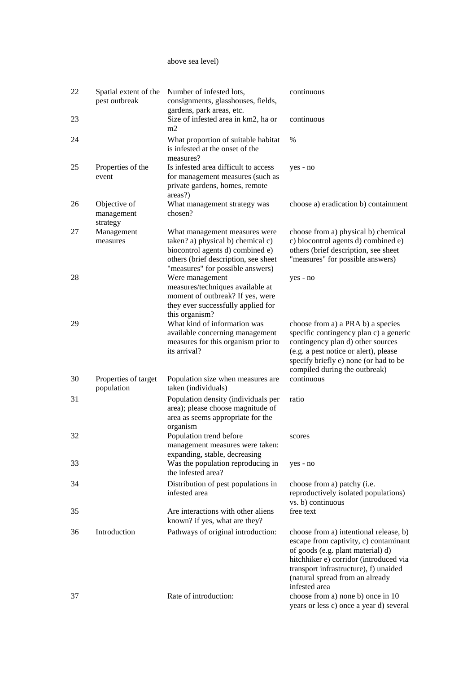#### above sea level)

| 22 | Spatial extent of the<br>pest outbreak | Number of infested lots,<br>consignments, glasshouses, fields,<br>gardens, park areas, etc.                                                                                        | continuous                                                                                                                                                                                                                                                  |
|----|----------------------------------------|------------------------------------------------------------------------------------------------------------------------------------------------------------------------------------|-------------------------------------------------------------------------------------------------------------------------------------------------------------------------------------------------------------------------------------------------------------|
| 23 |                                        | Size of infested area in km2, ha or<br>m2                                                                                                                                          | continuous                                                                                                                                                                                                                                                  |
| 24 |                                        | What proportion of suitable habitat<br>is infested at the onset of the<br>measures?                                                                                                | $\%$                                                                                                                                                                                                                                                        |
| 25 | Properties of the<br>event             | Is infested area difficult to access<br>for management measures (such as<br>private gardens, homes, remote<br>areas?)                                                              | yes - no                                                                                                                                                                                                                                                    |
| 26 | Objective of<br>management<br>strategy | What management strategy was<br>chosen?                                                                                                                                            | choose a) eradication b) containment                                                                                                                                                                                                                        |
| 27 | Management<br>measures                 | What management measures were<br>taken? a) physical b) chemical c)<br>biocontrol agents d) combined e)<br>others (brief description, see sheet<br>"measures" for possible answers) | choose from a) physical b) chemical<br>c) biocontrol agents d) combined e)<br>others (brief description, see sheet<br>"measures" for possible answers)                                                                                                      |
| 28 |                                        | Were management<br>measures/techniques available at<br>moment of outbreak? If yes, were<br>they ever successfully applied for<br>this organism?                                    | yes - no                                                                                                                                                                                                                                                    |
| 29 |                                        | What kind of information was<br>available concerning management<br>measures for this organism prior to<br>its arrival?                                                             | choose from a) a PRA b) a species<br>specific contingency plan c) a generic<br>contingency plan d) other sources<br>(e.g. a pest notice or alert), please<br>specify briefly e) none (or had to be<br>compiled during the outbreak)                         |
| 30 | Properties of target<br>population     | Population size when measures are<br>taken (individuals)                                                                                                                           | continuous                                                                                                                                                                                                                                                  |
| 31 |                                        | Population density (individuals per<br>area); please choose magnitude of<br>area as seems appropriate for the<br>organism                                                          | ratio                                                                                                                                                                                                                                                       |
| 32 |                                        | Population trend before<br>management measures were taken:<br>expanding, stable, decreasing                                                                                        | scores                                                                                                                                                                                                                                                      |
| 33 |                                        | Was the population reproducing in<br>the infested area?                                                                                                                            | yes - no                                                                                                                                                                                                                                                    |
| 34 |                                        | Distribution of pest populations in<br>infested area                                                                                                                               | choose from a) patchy (i.e.<br>reproductively isolated populations)<br>vs. b) continuous                                                                                                                                                                    |
| 35 |                                        | Are interactions with other aliens<br>known? if yes, what are they?                                                                                                                | free text                                                                                                                                                                                                                                                   |
| 36 | Introduction                           | Pathways of original introduction:                                                                                                                                                 | choose from a) intentional release, b)<br>escape from captivity, c) contaminant<br>of goods (e.g. plant material) d)<br>hitchhiker e) corridor (introduced via<br>transport infrastructure), f) unaided<br>(natural spread from an already<br>infested area |
| 37 |                                        | Rate of introduction:                                                                                                                                                              | choose from a) none b) once in 10<br>years or less c) once a year d) several                                                                                                                                                                                |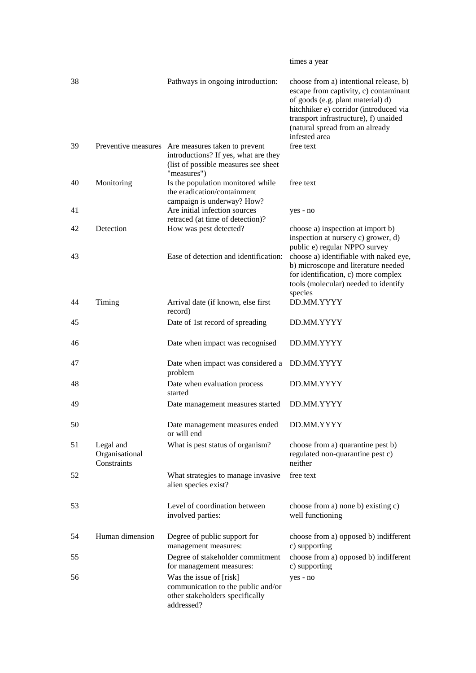|    |                                            |                                                                                                                                                  | times a year                                                                                                                                                                                                                                                |
|----|--------------------------------------------|--------------------------------------------------------------------------------------------------------------------------------------------------|-------------------------------------------------------------------------------------------------------------------------------------------------------------------------------------------------------------------------------------------------------------|
| 38 |                                            | Pathways in ongoing introduction:                                                                                                                | choose from a) intentional release, b)<br>escape from captivity, c) contaminant<br>of goods (e.g. plant material) d)<br>hitchhiker e) corridor (introduced via<br>transport infrastructure), f) unaided<br>(natural spread from an already<br>infested area |
| 39 |                                            | Preventive measures Are measures taken to prevent<br>introductions? If yes, what are they<br>(list of possible measures see sheet<br>"measures") | free text                                                                                                                                                                                                                                                   |
| 40 | Monitoring                                 | Is the population monitored while<br>the eradication/containment                                                                                 | free text                                                                                                                                                                                                                                                   |
| 41 |                                            | campaign is underway? How?<br>Are initial infection sources<br>retraced (at time of detection)?                                                  | yes - no                                                                                                                                                                                                                                                    |
| 42 | Detection                                  | How was pest detected?                                                                                                                           | choose a) inspection at import b)<br>inspection at nursery c) grower, d)                                                                                                                                                                                    |
| 43 |                                            | Ease of detection and identification:                                                                                                            | public e) regular NPPO survey<br>choose a) identifiable with naked eye,<br>b) microscope and literature needed<br>for identification, c) more complex<br>tools (molecular) needed to identify<br>species                                                    |
| 44 | Timing                                     | Arrival date (if known, else first<br>record)                                                                                                    | DD.MM.YYYY                                                                                                                                                                                                                                                  |
| 45 |                                            | Date of 1st record of spreading                                                                                                                  | DD.MM.YYYY                                                                                                                                                                                                                                                  |
| 46 |                                            | Date when impact was recognised                                                                                                                  | DD.MM.YYYY                                                                                                                                                                                                                                                  |
| 47 |                                            | Date when impact was considered a<br>problem                                                                                                     | DD.MM.YYYY                                                                                                                                                                                                                                                  |
| 48 |                                            | Date when evaluation process<br>started                                                                                                          | DD.MM.YYYY                                                                                                                                                                                                                                                  |
| 49 |                                            | Date management measures started                                                                                                                 | DD.MM.YYYY                                                                                                                                                                                                                                                  |
| 50 |                                            | Date management measures ended<br>or will end                                                                                                    | DD.MM.YYYY                                                                                                                                                                                                                                                  |
| 51 | Legal and<br>Organisational<br>Constraints | What is pest status of organism?                                                                                                                 | choose from a) quarantine pest b)<br>regulated non-quarantine pest c)<br>neither                                                                                                                                                                            |
| 52 |                                            | What strategies to manage invasive<br>alien species exist?                                                                                       | free text                                                                                                                                                                                                                                                   |
| 53 |                                            | Level of coordination between<br>involved parties:                                                                                               | choose from a) none b) existing c)<br>well functioning                                                                                                                                                                                                      |
| 54 | Human dimension                            | Degree of public support for<br>management measures:                                                                                             | choose from a) opposed b) indifferent<br>c) supporting                                                                                                                                                                                                      |
| 55 |                                            | Degree of stakeholder commitment<br>for management measures:                                                                                     | choose from a) opposed b) indifferent<br>c) supporting                                                                                                                                                                                                      |
| 56 |                                            | Was the issue of [risk]<br>communication to the public and/or<br>other stakeholders specifically<br>addressed?                                   | yes - no                                                                                                                                                                                                                                                    |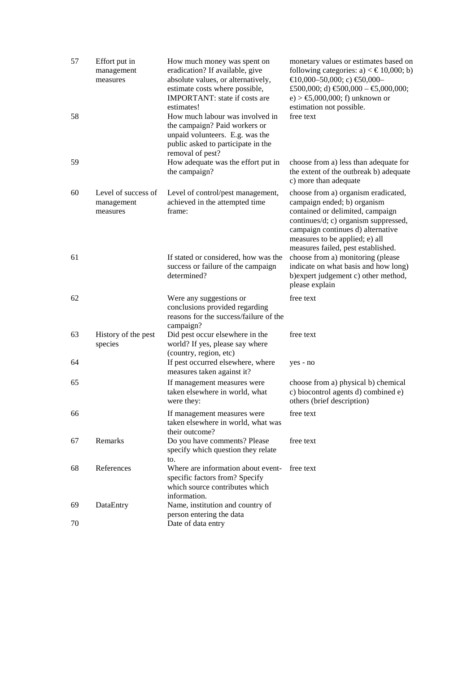| 57<br>58 | Effort put in<br>management<br>measures       | How much money was spent on<br>eradication? If available, give<br>absolute values, or alternatively,<br>estimate costs where possible,<br>IMPORTANT: state if costs are<br>estimates!<br>How much labour was involved in<br>the campaign? Paid workers or<br>unpaid volunteers. E.g. was the | monetary values or estimates based on<br>following categories: a) $\lt \text{\textsterling}10,000;$ b)<br>$€10,000-50,000; c) €50,000-$<br>£500,000; d) $\text{\textsterling}00,000 - \text{\textsterling}0,000,000$ ;<br>e) > €5,000,000; f) unknown or<br>estimation not possible.<br>free text |
|----------|-----------------------------------------------|----------------------------------------------------------------------------------------------------------------------------------------------------------------------------------------------------------------------------------------------------------------------------------------------|---------------------------------------------------------------------------------------------------------------------------------------------------------------------------------------------------------------------------------------------------------------------------------------------------|
| 59       |                                               | public asked to participate in the<br>removal of pest?<br>How adequate was the effort put in<br>the campaign?                                                                                                                                                                                | choose from a) less than adequate for<br>the extent of the outbreak b) adequate<br>c) more than adequate                                                                                                                                                                                          |
| 60       | Level of success of<br>management<br>measures | Level of control/pest management,<br>achieved in the attempted time<br>frame:                                                                                                                                                                                                                | choose from a) organism eradicated,<br>campaign ended; b) organism<br>contained or delimited, campaign<br>continues/d; c) organism suppressed,<br>campaign continues d) alternative<br>measures to be applied; e) all<br>measures failed, pest established.                                       |
| 61       |                                               | If stated or considered, how was the<br>success or failure of the campaign<br>determined?                                                                                                                                                                                                    | choose from a) monitoring (please<br>indicate on what basis and how long)<br>b) expert judgement c) other method,<br>please explain                                                                                                                                                               |
| 62       |                                               | Were any suggestions or<br>conclusions provided regarding<br>reasons for the success/failure of the<br>campaign?                                                                                                                                                                             | free text                                                                                                                                                                                                                                                                                         |
| 63       | History of the pest<br>species                | Did pest occur elsewhere in the<br>world? If yes, please say where<br>(country, region, etc)                                                                                                                                                                                                 | free text                                                                                                                                                                                                                                                                                         |
| 64       |                                               | If pest occurred elsewhere, where<br>measures taken against it?                                                                                                                                                                                                                              | yes - no                                                                                                                                                                                                                                                                                          |
| 65       |                                               | If management measures were<br>taken elsewhere in world, what<br>were they:                                                                                                                                                                                                                  | choose from a) physical b) chemical<br>c) biocontrol agents d) combined e)<br>others (brief description)                                                                                                                                                                                          |
| 66       |                                               | If management measures were<br>taken elsewhere in world, what was<br>their outcome?                                                                                                                                                                                                          | free text                                                                                                                                                                                                                                                                                         |
| 67       | Remarks                                       | Do you have comments? Please<br>specify which question they relate<br>to.                                                                                                                                                                                                                    | free text                                                                                                                                                                                                                                                                                         |
| 68       | References                                    | Where are information about event-<br>specific factors from? Specify<br>which source contributes which<br>information.                                                                                                                                                                       | free text                                                                                                                                                                                                                                                                                         |
| 69       | DataEntry                                     | Name, institution and country of<br>person entering the data                                                                                                                                                                                                                                 |                                                                                                                                                                                                                                                                                                   |
| 70       |                                               | Date of data entry                                                                                                                                                                                                                                                                           |                                                                                                                                                                                                                                                                                                   |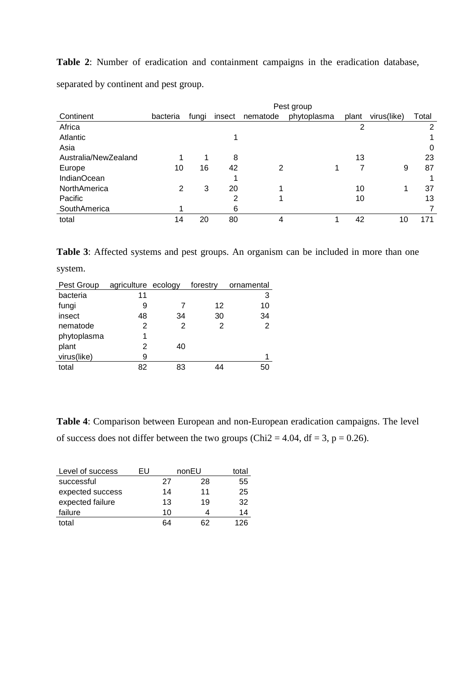**Table 2**: Number of eradication and containment campaigns in the eradication database, separated by continent and pest group.

|                      | Pest group |       |        |          |             |       |             |       |
|----------------------|------------|-------|--------|----------|-------------|-------|-------------|-------|
| Continent            | bacteria   | fungi | insect | nematode | phytoplasma | plant | virus(like) | Total |
| Africa               |            |       |        |          |             | 2     |             | 2     |
| Atlantic             |            |       |        |          |             |       |             |       |
| Asia                 |            |       |        |          |             |       |             | 0     |
| Australia/NewZealand | 1          |       | 8      |          |             | 13    |             | 23    |
| Europe               | 10         | 16    | 42     | 2        |             |       | 9           | 87    |
| <b>IndianOcean</b>   |            |       |        |          |             |       |             |       |
| NorthAmerica         | 2          | 3     | 20     |          |             | 10    |             | 37    |
| Pacific              |            |       | 2      |          |             | 10    |             | 13    |
| SouthAmerica         | 4          |       | 6      |          |             |       |             |       |
| total                | 14         | 20    | 80     |          |             | 42    | 10          | 171   |

**Table 3**: Affected systems and pest groups. An organism can be included in more than one

system.

| Pest Group  | agriculture ecology |    | forestry | ornamental     |
|-------------|---------------------|----|----------|----------------|
| bacteria    | 11                  |    |          | 3              |
| fungi       | 9                   |    | 12       | 10             |
| insect      | 48                  | 34 | 30       | 34             |
| nematode    | 2                   | 2  | 2        | $\overline{2}$ |
| phytoplasma | 1                   |    |          |                |
| plant       | 2                   | 40 |          |                |
| virus(like) | 9                   |    |          |                |
| total       | 82                  | 83 |          | 50             |

**Table 4**: Comparison between European and non-European eradication campaigns. The level of success does not differ between the two groups (Chi2 = 4.04, df = 3, p = 0.26).

| Level of success | FU |    | nonEU | total |
|------------------|----|----|-------|-------|
| successful       |    | 27 | 28    | 55    |
| expected success |    | 14 | 11    | 25    |
| expected failure |    | 13 | 19    | 32    |
| failure          |    | 10 |       | 14    |
| total            |    | 64 | 62    | 126   |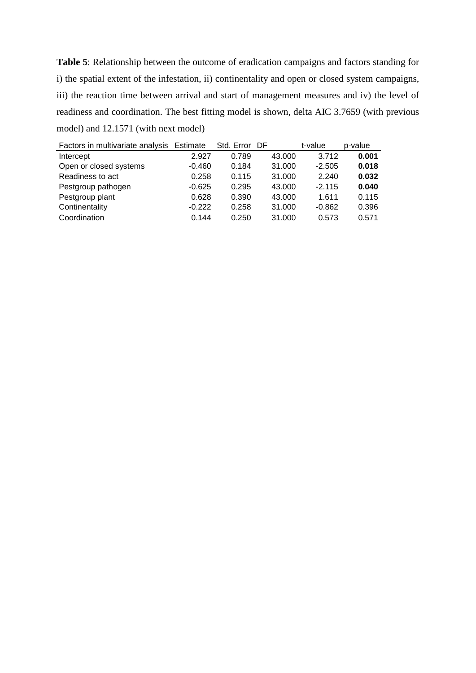**Table 5**: Relationship between the outcome of eradication campaigns and factors standing for i) the spatial extent of the infestation, ii) continentality and open or closed system campaigns, iii) the reaction time between arrival and start of management measures and iv) the level of readiness and coordination. The best fitting model is shown, delta AIC 3.7659 (with previous model) and 12.1571 (with next model)

| Factors in multivariate analysis Estimate |          | Std. Error | - DF   | t-value  | p-value |
|-------------------------------------------|----------|------------|--------|----------|---------|
| Intercept                                 | 2.927    | 0.789      | 43,000 | 3.712    | 0.001   |
| Open or closed systems                    | $-0.460$ | 0.184      | 31.000 | $-2.505$ | 0.018   |
| Readiness to act                          | 0.258    | 0.115      | 31.000 | 2.240    | 0.032   |
| Pestgroup pathogen                        | $-0.625$ | 0.295      | 43.000 | $-2.115$ | 0.040   |
| Pestgroup plant                           | 0.628    | 0.390      | 43.000 | 1.611    | 0.115   |
| Continentality                            | $-0.222$ | 0.258      | 31.000 | $-0.862$ | 0.396   |
| Coordination                              | 0.144    | 0.250      | 31.000 | 0.573    | 0.571   |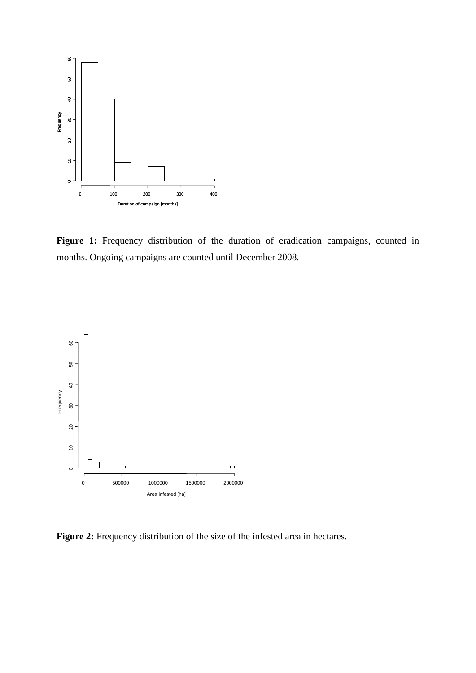

Figure 1: Frequency distribution of the duration of eradication campaigns, counted in months. Ongoing campaigns are counted until December 2008.



Figure 2: Frequency distribution of the size of the infested area in hectares.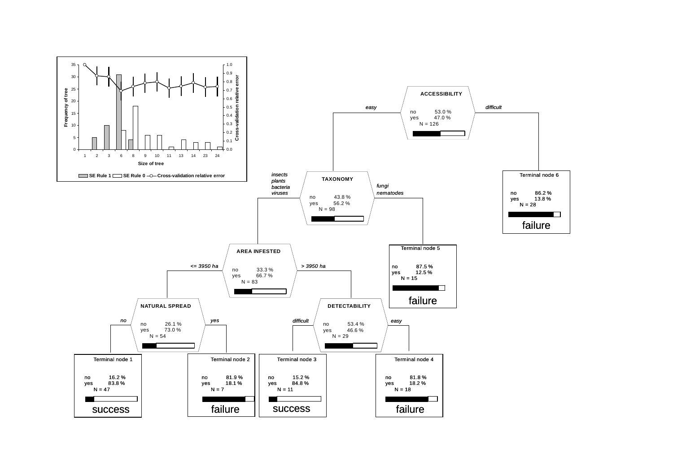